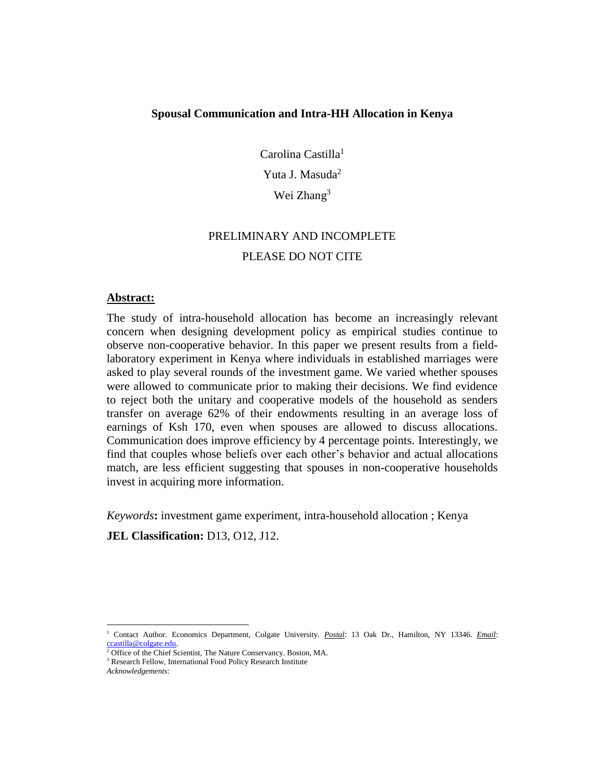#### **Spousal Communication and Intra-HH Allocation in Kenya**

Carolina Castilla<sup>1</sup> Yuta J. Masuda<sup>2</sup> Wei Zhang<sup>3</sup>

# PRELIMINARY AND INCOMPLETE PLEASE DO NOT CITE

#### **Abstract:**

The study of intra-household allocation has become an increasingly relevant concern when designing development policy as empirical studies continue to observe non-cooperative behavior. In this paper we present results from a fieldlaboratory experiment in Kenya where individuals in established marriages were asked to play several rounds of the investment game. We varied whether spouses were allowed to communicate prior to making their decisions. We find evidence to reject both the unitary and cooperative models of the household as senders transfer on average 62% of their endowments resulting in an average loss of earnings of Ksh 170, even when spouses are allowed to discuss allocations. Communication does improve efficiency by 4 percentage points. Interestingly, we find that couples whose beliefs over each other's behavior and actual allocations match, are less efficient suggesting that spouses in non-cooperative households invest in acquiring more information.

*Keywords***:** investment game experiment, intra-household allocation ; Kenya

**JEL Classification:** D13, O12, J12.

 $\overline{a}$ <sup>1</sup> Contact Author. Economics Department, Colgate University. *Postal*: 13 Oak Dr., Hamilton, NY 13346. *Email*:  $\frac{\cosh 2\theta}{2\pi}$ [ccastilla@colgate.edu.](mailto:ccastilla@colgate.edu)

<sup>2</sup> Office of the Chief Scientist, The Nature Conservancy. Boston, MA.

<sup>&</sup>lt;sup>3</sup> Research Fellow, International Food Policy Research Institute

*Acknowledgements*: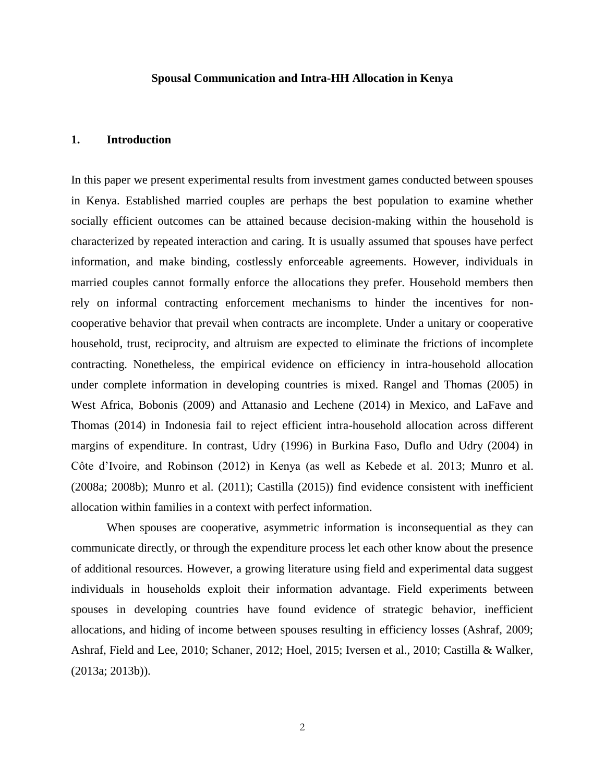#### **Spousal Communication and Intra-HH Allocation in Kenya**

#### **1. Introduction**

In this paper we present experimental results from investment games conducted between spouses in Kenya. Established married couples are perhaps the best population to examine whether socially efficient outcomes can be attained because decision-making within the household is characterized by repeated interaction and caring. It is usually assumed that spouses have perfect information, and make binding, costlessly enforceable agreements. However, individuals in married couples cannot formally enforce the allocations they prefer. Household members then rely on informal contracting enforcement mechanisms to hinder the incentives for noncooperative behavior that prevail when contracts are incomplete. Under a unitary or cooperative household, trust, reciprocity, and altruism are expected to eliminate the frictions of incomplete contracting. Nonetheless, the empirical evidence on efficiency in intra-household allocation under complete information in developing countries is mixed. Rangel and Thomas (2005) in West Africa, Bobonis (2009) and Attanasio and Lechene (2014) in Mexico, and LaFave and Thomas (2014) in Indonesia fail to reject efficient intra-household allocation across different margins of expenditure. In contrast, Udry (1996) in Burkina Faso, Duflo and Udry (2004) in Côte d'Ivoire, and Robinson (2012) in Kenya (as well as Kebede et al. 2013; Munro et al. (2008a; 2008b); Munro et al. (2011); Castilla (2015)) find evidence consistent with inefficient allocation within families in a context with perfect information.

When spouses are cooperative, asymmetric information is inconsequential as they can communicate directly, or through the expenditure process let each other know about the presence of additional resources. However, a growing literature using field and experimental data suggest individuals in households exploit their information advantage. Field experiments between spouses in developing countries have found evidence of strategic behavior, inefficient allocations, and hiding of income between spouses resulting in efficiency losses (Ashraf, 2009; Ashraf, Field and Lee, 2010; Schaner, 2012; Hoel, 2015; Iversen et al., 2010; Castilla & Walker, (2013a; 2013b)).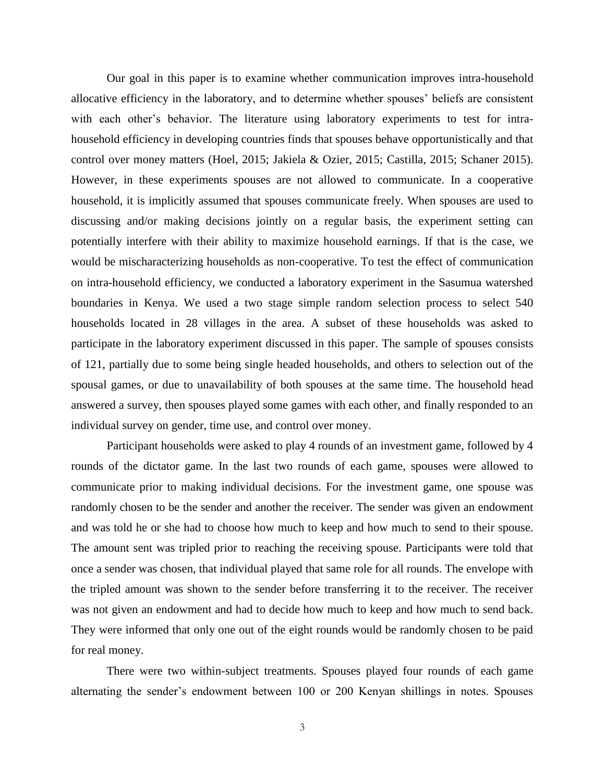Our goal in this paper is to examine whether communication improves intra-household allocative efficiency in the laboratory, and to determine whether spouses' beliefs are consistent with each other's behavior. The literature using laboratory experiments to test for intrahousehold efficiency in developing countries finds that spouses behave opportunistically and that control over money matters (Hoel, 2015; Jakiela & Ozier, 2015; Castilla, 2015; Schaner 2015). However, in these experiments spouses are not allowed to communicate. In a cooperative household, it is implicitly assumed that spouses communicate freely. When spouses are used to discussing and/or making decisions jointly on a regular basis, the experiment setting can potentially interfere with their ability to maximize household earnings. If that is the case, we would be mischaracterizing households as non-cooperative. To test the effect of communication on intra-household efficiency, we conducted a laboratory experiment in the Sasumua watershed boundaries in Kenya. We used a two stage simple random selection process to select 540 households located in 28 villages in the area. A subset of these households was asked to participate in the laboratory experiment discussed in this paper. The sample of spouses consists of 121, partially due to some being single headed households, and others to selection out of the spousal games, or due to unavailability of both spouses at the same time. The household head answered a survey, then spouses played some games with each other, and finally responded to an individual survey on gender, time use, and control over money.

Participant households were asked to play 4 rounds of an investment game, followed by 4 rounds of the dictator game. In the last two rounds of each game, spouses were allowed to communicate prior to making individual decisions. For the investment game, one spouse was randomly chosen to be the sender and another the receiver. The sender was given an endowment and was told he or she had to choose how much to keep and how much to send to their spouse. The amount sent was tripled prior to reaching the receiving spouse. Participants were told that once a sender was chosen, that individual played that same role for all rounds. The envelope with the tripled amount was shown to the sender before transferring it to the receiver. The receiver was not given an endowment and had to decide how much to keep and how much to send back. They were informed that only one out of the eight rounds would be randomly chosen to be paid for real money.

There were two within-subject treatments. Spouses played four rounds of each game alternating the sender's endowment between 100 or 200 Kenyan shillings in notes. Spouses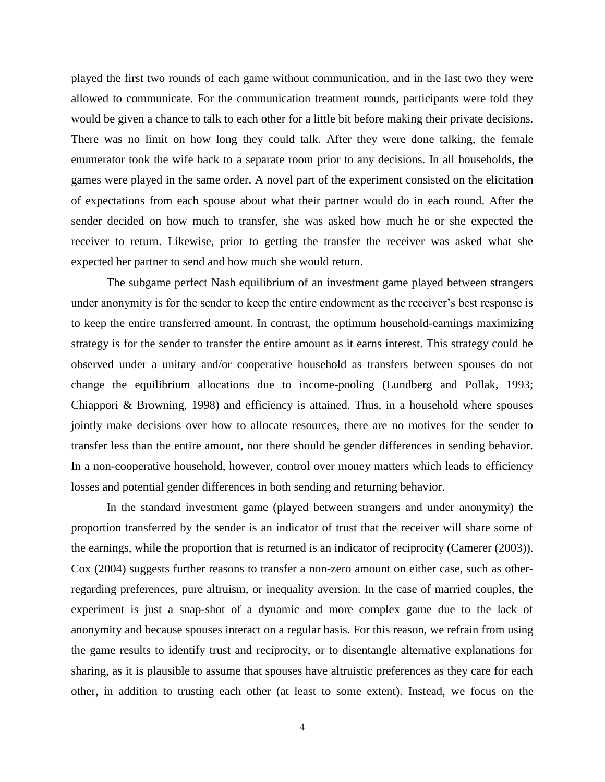played the first two rounds of each game without communication, and in the last two they were allowed to communicate. For the communication treatment rounds, participants were told they would be given a chance to talk to each other for a little bit before making their private decisions. There was no limit on how long they could talk. After they were done talking, the female enumerator took the wife back to a separate room prior to any decisions. In all households, the games were played in the same order. A novel part of the experiment consisted on the elicitation of expectations from each spouse about what their partner would do in each round. After the sender decided on how much to transfer, she was asked how much he or she expected the receiver to return. Likewise, prior to getting the transfer the receiver was asked what she expected her partner to send and how much she would return.

The subgame perfect Nash equilibrium of an investment game played between strangers under anonymity is for the sender to keep the entire endowment as the receiver's best response is to keep the entire transferred amount. In contrast, the optimum household-earnings maximizing strategy is for the sender to transfer the entire amount as it earns interest. This strategy could be observed under a unitary and/or cooperative household as transfers between spouses do not change the equilibrium allocations due to income-pooling (Lundberg and Pollak, 1993; Chiappori & Browning, 1998) and efficiency is attained. Thus, in a household where spouses jointly make decisions over how to allocate resources, there are no motives for the sender to transfer less than the entire amount, nor there should be gender differences in sending behavior. In a non-cooperative household, however, control over money matters which leads to efficiency losses and potential gender differences in both sending and returning behavior.

In the standard investment game (played between strangers and under anonymity) the proportion transferred by the sender is an indicator of trust that the receiver will share some of the earnings, while the proportion that is returned is an indicator of reciprocity (Camerer (2003)). Cox (2004) suggests further reasons to transfer a non-zero amount on either case, such as otherregarding preferences, pure altruism, or inequality aversion. In the case of married couples, the experiment is just a snap-shot of a dynamic and more complex game due to the lack of anonymity and because spouses interact on a regular basis. For this reason, we refrain from using the game results to identify trust and reciprocity, or to disentangle alternative explanations for sharing, as it is plausible to assume that spouses have altruistic preferences as they care for each other, in addition to trusting each other (at least to some extent). Instead, we focus on the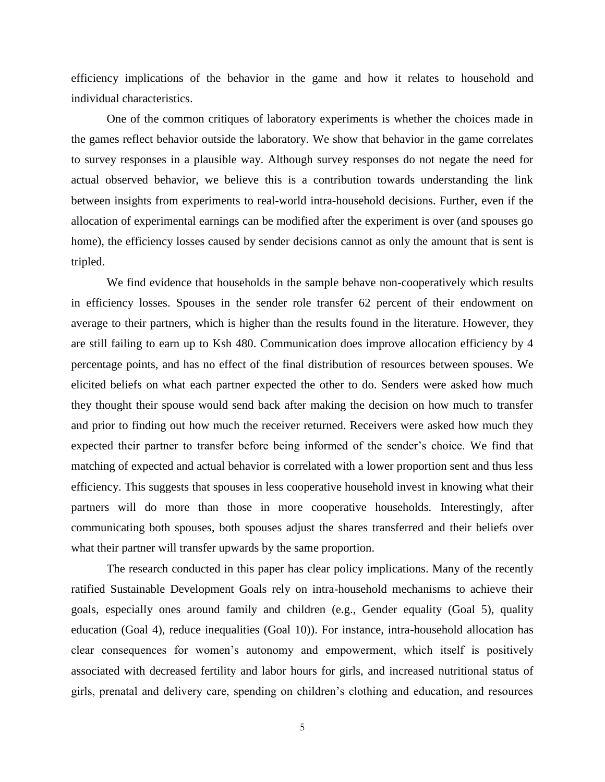efficiency implications of the behavior in the game and how it relates to household and individual characteristics.

One of the common critiques of laboratory experiments is whether the choices made in the games reflect behavior outside the laboratory. We show that behavior in the game correlates to survey responses in a plausible way. Although survey responses do not negate the need for actual observed behavior, we believe this is a contribution towards understanding the link between insights from experiments to real-world intra-household decisions. Further, even if the allocation of experimental earnings can be modified after the experiment is over (and spouses go home), the efficiency losses caused by sender decisions cannot as only the amount that is sent is tripled.

We find evidence that households in the sample behave non-cooperatively which results in efficiency losses. Spouses in the sender role transfer 62 percent of their endowment on average to their partners, which is higher than the results found in the literature. However, they are still failing to earn up to Ksh 480. Communication does improve allocation efficiency by 4 percentage points, and has no effect of the final distribution of resources between spouses. We elicited beliefs on what each partner expected the other to do. Senders were asked how much they thought their spouse would send back after making the decision on how much to transfer and prior to finding out how much the receiver returned. Receivers were asked how much they expected their partner to transfer before being informed of the sender's choice. We find that matching of expected and actual behavior is correlated with a lower proportion sent and thus less efficiency. This suggests that spouses in less cooperative household invest in knowing what their partners will do more than those in more cooperative households. Interestingly, after communicating both spouses, both spouses adjust the shares transferred and their beliefs over what their partner will transfer upwards by the same proportion.

The research conducted in this paper has clear policy implications. Many of the recently ratified Sustainable Development Goals rely on intra-household mechanisms to achieve their goals, especially ones around family and children (e.g., Gender equality (Goal 5), quality education (Goal 4), reduce inequalities (Goal 10)). For instance, intra-household allocation has clear consequences for women's autonomy and empowerment, which itself is positively associated with decreased fertility and labor hours for girls, and increased nutritional status of girls, prenatal and delivery care, spending on children's clothing and education, and resources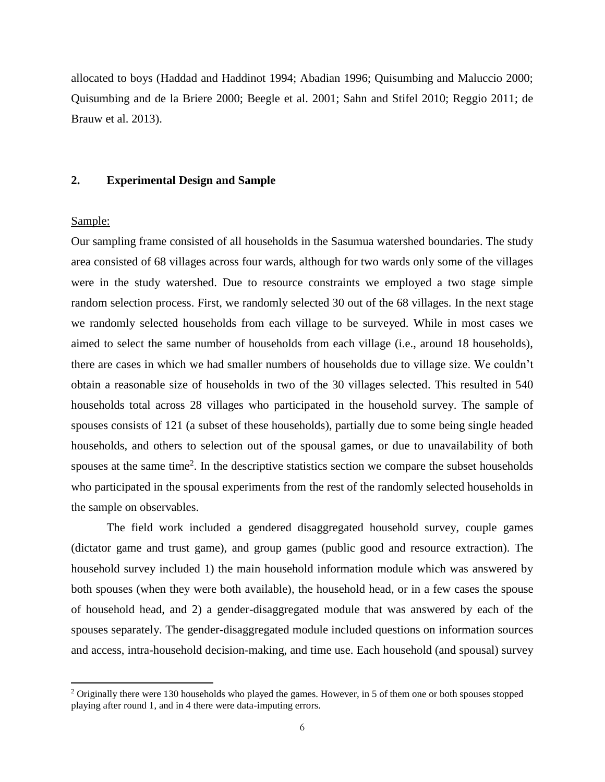allocated to boys (Haddad and Haddinot 1994; Abadian 1996; Quisumbing and Maluccio 2000; Quisumbing and de la Briere 2000; Beegle et al. 2001; Sahn and Stifel 2010; Reggio 2011; de Brauw et al. 2013).

#### **2. Experimental Design and Sample**

#### Sample:

 $\overline{a}$ 

Our sampling frame consisted of all households in the Sasumua watershed boundaries. The study area consisted of 68 villages across four wards, although for two wards only some of the villages were in the study watershed. Due to resource constraints we employed a two stage simple random selection process. First, we randomly selected 30 out of the 68 villages. In the next stage we randomly selected households from each village to be surveyed. While in most cases we aimed to select the same number of households from each village (i.e., around 18 households), there are cases in which we had smaller numbers of households due to village size. We couldn't obtain a reasonable size of households in two of the 30 villages selected. This resulted in 540 households total across 28 villages who participated in the household survey. The sample of spouses consists of 121 (a subset of these households), partially due to some being single headed households, and others to selection out of the spousal games, or due to unavailability of both spouses at the same time<sup>2</sup>. In the descriptive statistics section we compare the subset households who participated in the spousal experiments from the rest of the randomly selected households in the sample on observables.

The field work included a gendered disaggregated household survey, couple games (dictator game and trust game), and group games (public good and resource extraction). The household survey included 1) the main household information module which was answered by both spouses (when they were both available), the household head, or in a few cases the spouse of household head, and 2) a gender-disaggregated module that was answered by each of the spouses separately. The gender-disaggregated module included questions on information sources and access, intra-household decision-making, and time use. Each household (and spousal) survey

<sup>&</sup>lt;sup>2</sup> Originally there were 130 households who played the games. However, in 5 of them one or both spouses stopped playing after round 1, and in 4 there were data-imputing errors.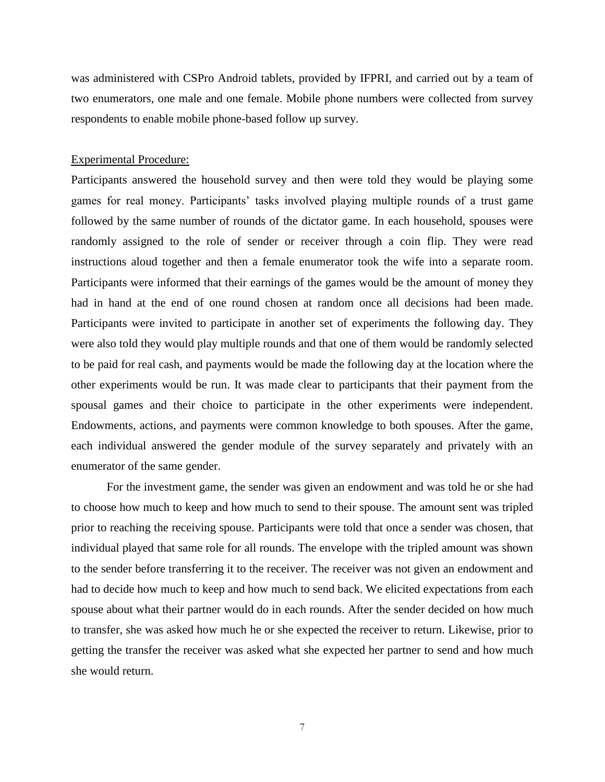was administered with CSPro Android tablets, provided by IFPRI, and carried out by a team of two enumerators, one male and one female. Mobile phone numbers were collected from survey respondents to enable mobile phone-based follow up survey.

#### Experimental Procedure:

Participants answered the household survey and then were told they would be playing some games for real money. Participants' tasks involved playing multiple rounds of a trust game followed by the same number of rounds of the dictator game. In each household, spouses were randomly assigned to the role of sender or receiver through a coin flip. They were read instructions aloud together and then a female enumerator took the wife into a separate room. Participants were informed that their earnings of the games would be the amount of money they had in hand at the end of one round chosen at random once all decisions had been made. Participants were invited to participate in another set of experiments the following day. They were also told they would play multiple rounds and that one of them would be randomly selected to be paid for real cash, and payments would be made the following day at the location where the other experiments would be run. It was made clear to participants that their payment from the spousal games and their choice to participate in the other experiments were independent. Endowments, actions, and payments were common knowledge to both spouses. After the game, each individual answered the gender module of the survey separately and privately with an enumerator of the same gender.

For the investment game, the sender was given an endowment and was told he or she had to choose how much to keep and how much to send to their spouse. The amount sent was tripled prior to reaching the receiving spouse. Participants were told that once a sender was chosen, that individual played that same role for all rounds. The envelope with the tripled amount was shown to the sender before transferring it to the receiver. The receiver was not given an endowment and had to decide how much to keep and how much to send back. We elicited expectations from each spouse about what their partner would do in each rounds. After the sender decided on how much to transfer, she was asked how much he or she expected the receiver to return. Likewise, prior to getting the transfer the receiver was asked what she expected her partner to send and how much she would return.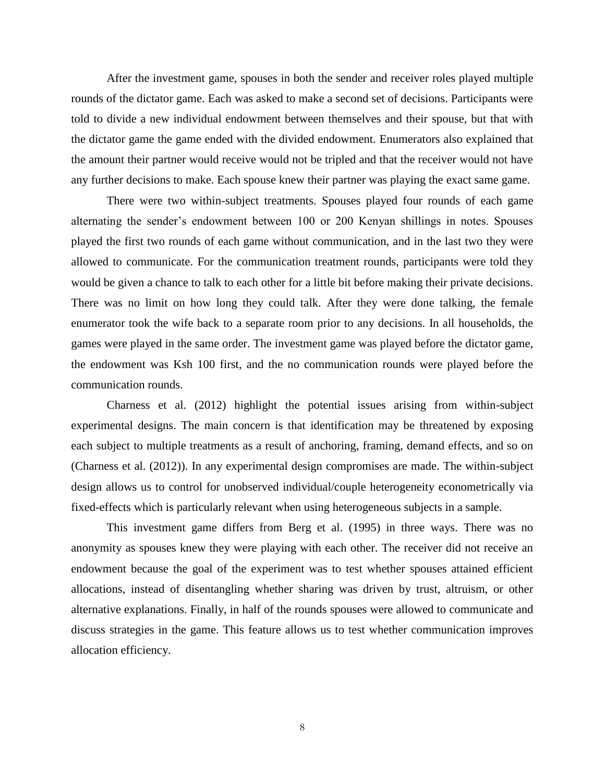After the investment game, spouses in both the sender and receiver roles played multiple rounds of the dictator game. Each was asked to make a second set of decisions. Participants were told to divide a new individual endowment between themselves and their spouse, but that with the dictator game the game ended with the divided endowment. Enumerators also explained that the amount their partner would receive would not be tripled and that the receiver would not have any further decisions to make. Each spouse knew their partner was playing the exact same game.

There were two within-subject treatments. Spouses played four rounds of each game alternating the sender's endowment between 100 or 200 Kenyan shillings in notes. Spouses played the first two rounds of each game without communication, and in the last two they were allowed to communicate. For the communication treatment rounds, participants were told they would be given a chance to talk to each other for a little bit before making their private decisions. There was no limit on how long they could talk. After they were done talking, the female enumerator took the wife back to a separate room prior to any decisions. In all households, the games were played in the same order. The investment game was played before the dictator game, the endowment was Ksh 100 first, and the no communication rounds were played before the communication rounds.

Charness et al. (2012) highlight the potential issues arising from within-subject experimental designs. The main concern is that identification may be threatened by exposing each subject to multiple treatments as a result of anchoring, framing, demand effects, and so on (Charness et al. (2012)). In any experimental design compromises are made. The within-subject design allows us to control for unobserved individual/couple heterogeneity econometrically via fixed-effects which is particularly relevant when using heterogeneous subjects in a sample.

This investment game differs from Berg et al. (1995) in three ways. There was no anonymity as spouses knew they were playing with each other. The receiver did not receive an endowment because the goal of the experiment was to test whether spouses attained efficient allocations, instead of disentangling whether sharing was driven by trust, altruism, or other alternative explanations. Finally, in half of the rounds spouses were allowed to communicate and discuss strategies in the game. This feature allows us to test whether communication improves allocation efficiency.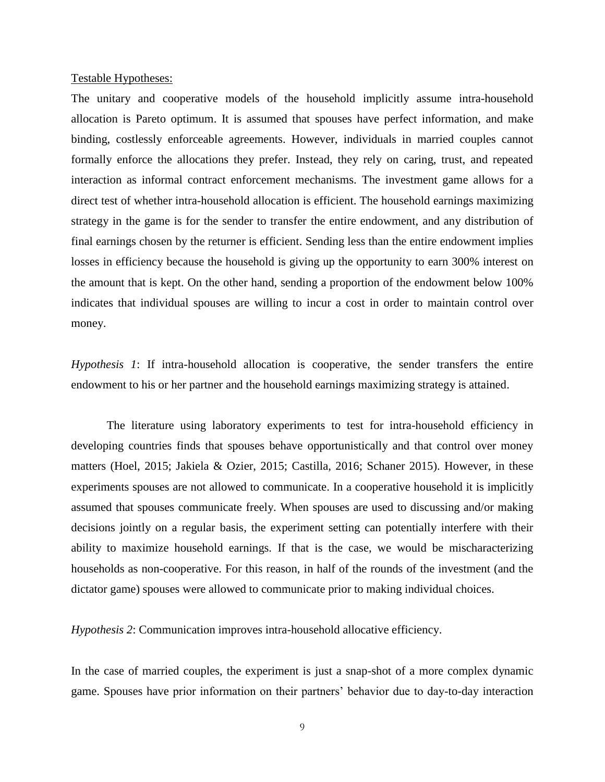#### Testable Hypotheses:

The unitary and cooperative models of the household implicitly assume intra-household allocation is Pareto optimum. It is assumed that spouses have perfect information, and make binding, costlessly enforceable agreements. However, individuals in married couples cannot formally enforce the allocations they prefer. Instead, they rely on caring, trust, and repeated interaction as informal contract enforcement mechanisms. The investment game allows for a direct test of whether intra-household allocation is efficient. The household earnings maximizing strategy in the game is for the sender to transfer the entire endowment, and any distribution of final earnings chosen by the returner is efficient. Sending less than the entire endowment implies losses in efficiency because the household is giving up the opportunity to earn 300% interest on the amount that is kept. On the other hand, sending a proportion of the endowment below 100% indicates that individual spouses are willing to incur a cost in order to maintain control over money.

*Hypothesis 1*: If intra-household allocation is cooperative, the sender transfers the entire endowment to his or her partner and the household earnings maximizing strategy is attained.

The literature using laboratory experiments to test for intra-household efficiency in developing countries finds that spouses behave opportunistically and that control over money matters (Hoel, 2015; Jakiela & Ozier, 2015; Castilla, 2016; Schaner 2015). However, in these experiments spouses are not allowed to communicate. In a cooperative household it is implicitly assumed that spouses communicate freely. When spouses are used to discussing and/or making decisions jointly on a regular basis, the experiment setting can potentially interfere with their ability to maximize household earnings. If that is the case, we would be mischaracterizing households as non-cooperative. For this reason, in half of the rounds of the investment (and the dictator game) spouses were allowed to communicate prior to making individual choices.

*Hypothesis 2*: Communication improves intra-household allocative efficiency.

In the case of married couples, the experiment is just a snap-shot of a more complex dynamic game. Spouses have prior information on their partners' behavior due to day-to-day interaction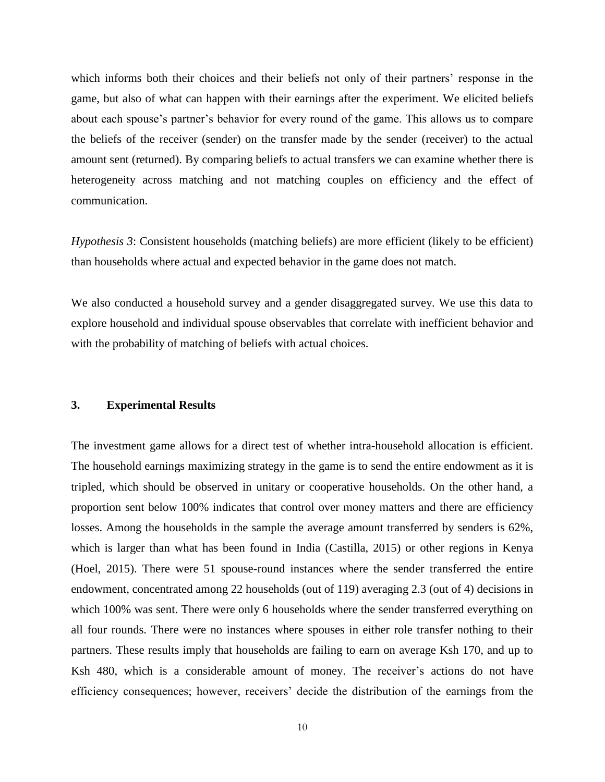which informs both their choices and their beliefs not only of their partners' response in the game, but also of what can happen with their earnings after the experiment. We elicited beliefs about each spouse's partner's behavior for every round of the game. This allows us to compare the beliefs of the receiver (sender) on the transfer made by the sender (receiver) to the actual amount sent (returned). By comparing beliefs to actual transfers we can examine whether there is heterogeneity across matching and not matching couples on efficiency and the effect of communication.

*Hypothesis 3*: Consistent households (matching beliefs) are more efficient (likely to be efficient) than households where actual and expected behavior in the game does not match.

We also conducted a household survey and a gender disaggregated survey. We use this data to explore household and individual spouse observables that correlate with inefficient behavior and with the probability of matching of beliefs with actual choices.

#### **3. Experimental Results**

The investment game allows for a direct test of whether intra-household allocation is efficient. The household earnings maximizing strategy in the game is to send the entire endowment as it is tripled, which should be observed in unitary or cooperative households. On the other hand, a proportion sent below 100% indicates that control over money matters and there are efficiency losses. Among the households in the sample the average amount transferred by senders is 62%, which is larger than what has been found in India (Castilla, 2015) or other regions in Kenya (Hoel, 2015). There were 51 spouse-round instances where the sender transferred the entire endowment, concentrated among 22 households (out of 119) averaging 2.3 (out of 4) decisions in which 100% was sent. There were only 6 households where the sender transferred everything on all four rounds. There were no instances where spouses in either role transfer nothing to their partners. These results imply that households are failing to earn on average Ksh 170, and up to Ksh 480, which is a considerable amount of money. The receiver's actions do not have efficiency consequences; however, receivers' decide the distribution of the earnings from the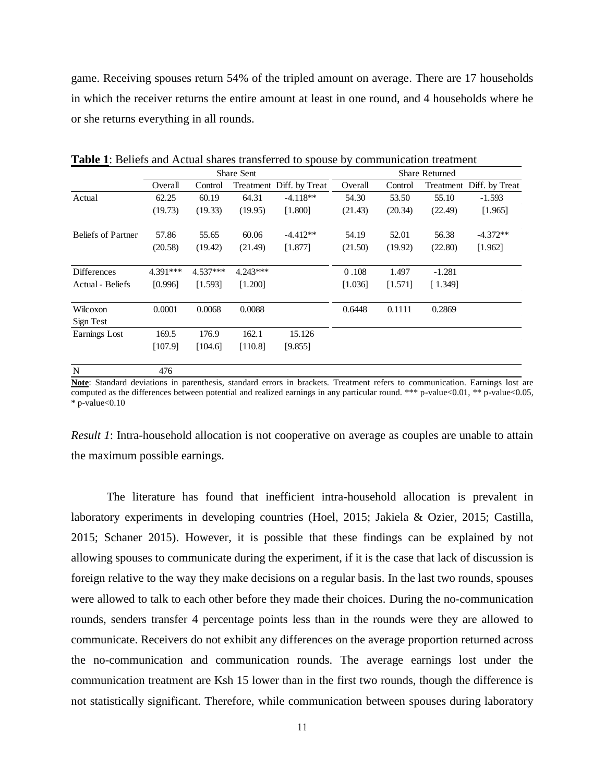game. Receiving spouses return 54% of the tripled amount on average. There are 17 households in which the receiver returns the entire amount at least in one round, and 4 households where he or she returns everything in all rounds.

|                           |          |            | Share Sent |                          | <b>Share Returned</b> |         |          |                          |  |
|---------------------------|----------|------------|------------|--------------------------|-----------------------|---------|----------|--------------------------|--|
|                           | Overall  | Control    |            | Treatment Diff. by Treat | Overall               | Control |          | Treatment Diff. by Treat |  |
| Actual                    | 62.25    | 60.19      | 64.31      | $-4.118**$               | 54.30                 | 53.50   | 55.10    | $-1.593$                 |  |
|                           | (19.73)  | (19.33)    | (19.95)    | [1.800]                  | (21.43)               | (20.34) | (22.49)  | [1.965]                  |  |
| <b>Beliefs of Partner</b> | 57.86    | 55.65      | 60.06      | $-4.412**$               | 54.19                 | 52.01   | 56.38    | $-4.372**$               |  |
|                           | (20.58)  | (19.42)    | (21.49)    | [1.877]                  | (21.50)               | (19.92) | (22.80)  | [1.962]                  |  |
| <b>Differences</b>        | 4.391*** | $4.537***$ | 4.243***   |                          | 0.108                 | 1.497   | $-1.281$ |                          |  |
| Actual - Beliefs          | [0.996]  | [1.593]    | [1.200]    |                          | [1.036]               | [1.571] | [1.349]  |                          |  |
| Wilcoxon                  | 0.0001   | 0.0068     | 0.0088     |                          | 0.6448                | 0.1111  | 0.2869   |                          |  |
| Sign Test                 |          |            |            |                          |                       |         |          |                          |  |
| Earnings Lost             | 169.5    | 176.9      | 162.1      | 15.126                   |                       |         |          |                          |  |
|                           | [107.9]  | [104.6]    | [110.8]    | [9.855]                  |                       |         |          |                          |  |
| N                         | 476      |            |            |                          |                       |         |          |                          |  |

**Table 1**: Beliefs and Actual shares transferred to spouse by communication treatment

**Note**: Standard deviations in parenthesis, standard errors in brackets. Treatment refers to communication. Earnings lost are computed as the differences between potential and realized earnings in any particular round. \*\*\* p-value<0.01, \*\* p-value<0.05,  $*$  p-value $< 0.10$ 

*Result 1*: Intra-household allocation is not cooperative on average as couples are unable to attain the maximum possible earnings.

The literature has found that inefficient intra-household allocation is prevalent in laboratory experiments in developing countries (Hoel, 2015; Jakiela & Ozier, 2015; Castilla, 2015; Schaner 2015). However, it is possible that these findings can be explained by not allowing spouses to communicate during the experiment, if it is the case that lack of discussion is foreign relative to the way they make decisions on a regular basis. In the last two rounds, spouses were allowed to talk to each other before they made their choices. During the no-communication rounds, senders transfer 4 percentage points less than in the rounds were they are allowed to communicate. Receivers do not exhibit any differences on the average proportion returned across the no-communication and communication rounds. The average earnings lost under the communication treatment are Ksh 15 lower than in the first two rounds, though the difference is not statistically significant. Therefore, while communication between spouses during laboratory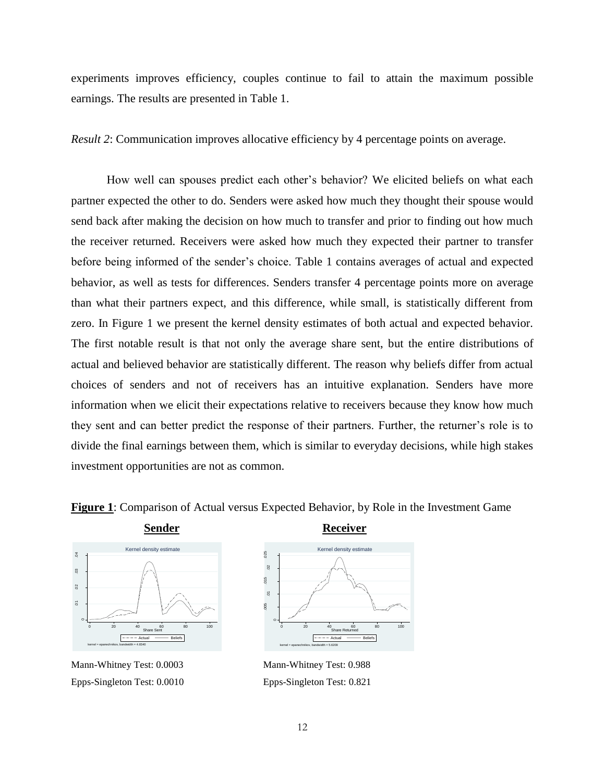experiments improves efficiency, couples continue to fail to attain the maximum possible earnings. The results are presented in Table 1.

*Result 2*: Communication improves allocative efficiency by 4 percentage points on average.

How well can spouses predict each other's behavior? We elicited beliefs on what each partner expected the other to do. Senders were asked how much they thought their spouse would send back after making the decision on how much to transfer and prior to finding out how much the receiver returned. Receivers were asked how much they expected their partner to transfer before being informed of the sender's choice. Table 1 contains averages of actual and expected behavior, as well as tests for differences. Senders transfer 4 percentage points more on average than what their partners expect, and this difference, while small, is statistically different from zero. In Figure 1 we present the kernel density estimates of both actual and expected behavior. The first notable result is that not only the average share sent, but the entire distributions of actual and believed behavior are statistically different. The reason why beliefs differ from actual choices of senders and not of receivers has an intuitive explanation. Senders have more information when we elicit their expectations relative to receivers because they know how much they sent and can better predict the response of their partners. Further, the returner's role is to divide the final earnings between them, which is similar to everyday decisions, while high stakes investment opportunities are not as common.





Mann-Whitney Test: 0.0003 Epps-Singleton Test: 0.0010



Mann-Whitney Test: 0.988 Epps-Singleton Test: 0.821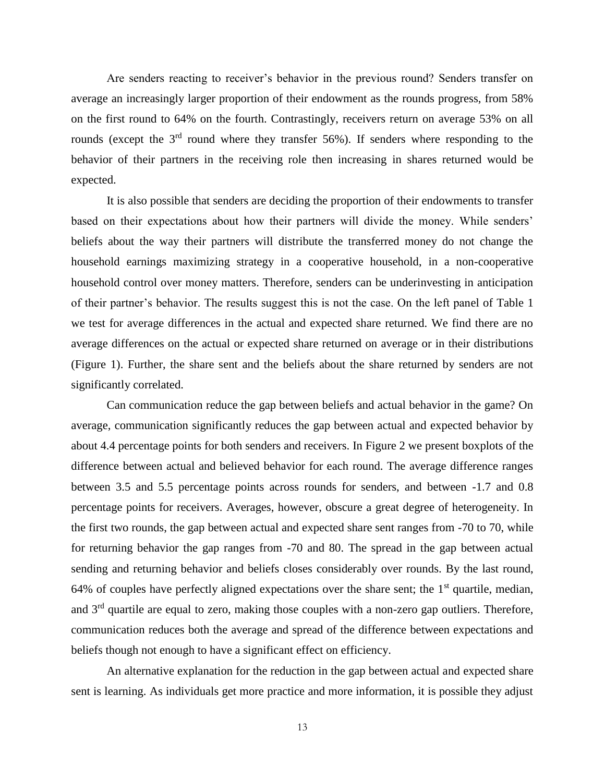Are senders reacting to receiver's behavior in the previous round? Senders transfer on average an increasingly larger proportion of their endowment as the rounds progress, from 58% on the first round to 64% on the fourth. Contrastingly, receivers return on average 53% on all rounds (except the  $3<sup>rd</sup>$  round where they transfer 56%). If senders where responding to the behavior of their partners in the receiving role then increasing in shares returned would be expected.

It is also possible that senders are deciding the proportion of their endowments to transfer based on their expectations about how their partners will divide the money. While senders' beliefs about the way their partners will distribute the transferred money do not change the household earnings maximizing strategy in a cooperative household, in a non-cooperative household control over money matters. Therefore, senders can be underinvesting in anticipation of their partner's behavior. The results suggest this is not the case. On the left panel of Table 1 we test for average differences in the actual and expected share returned. We find there are no average differences on the actual or expected share returned on average or in their distributions (Figure 1). Further, the share sent and the beliefs about the share returned by senders are not significantly correlated.

Can communication reduce the gap between beliefs and actual behavior in the game? On average, communication significantly reduces the gap between actual and expected behavior by about 4.4 percentage points for both senders and receivers. In Figure 2 we present boxplots of the difference between actual and believed behavior for each round. The average difference ranges between 3.5 and 5.5 percentage points across rounds for senders, and between -1.7 and 0.8 percentage points for receivers. Averages, however, obscure a great degree of heterogeneity. In the first two rounds, the gap between actual and expected share sent ranges from -70 to 70, while for returning behavior the gap ranges from -70 and 80. The spread in the gap between actual sending and returning behavior and beliefs closes considerably over rounds. By the last round, 64% of couples have perfectly aligned expectations over the share sent; the  $1<sup>st</sup>$  quartile, median, and  $3<sup>rd</sup>$  quartile are equal to zero, making those couples with a non-zero gap outliers. Therefore, communication reduces both the average and spread of the difference between expectations and beliefs though not enough to have a significant effect on efficiency.

An alternative explanation for the reduction in the gap between actual and expected share sent is learning. As individuals get more practice and more information, it is possible they adjust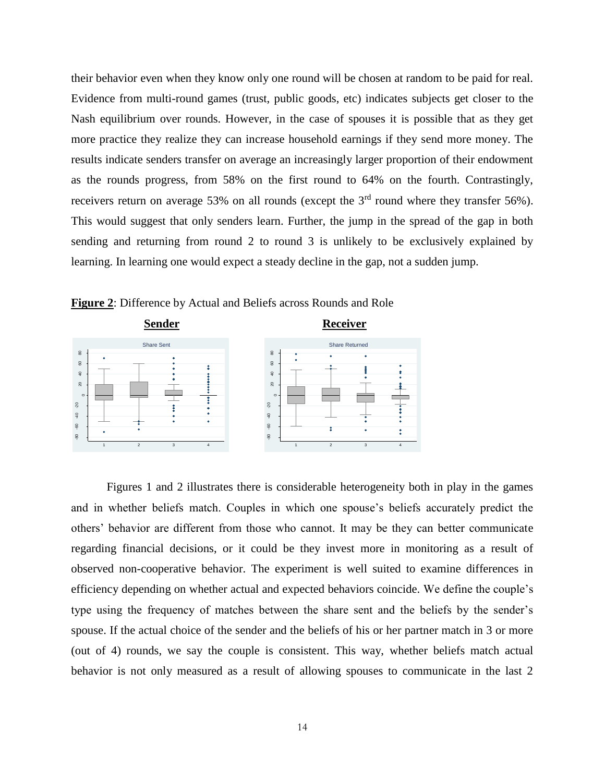their behavior even when they know only one round will be chosen at random to be paid for real. Evidence from multi-round games (trust, public goods, etc) indicates subjects get closer to the Nash equilibrium over rounds. However, in the case of spouses it is possible that as they get more practice they realize they can increase household earnings if they send more money. The results indicate senders transfer on average an increasingly larger proportion of their endowment as the rounds progress, from 58% on the first round to 64% on the fourth. Contrastingly, receivers return on average 53% on all rounds (except the  $3<sup>rd</sup>$  round where they transfer 56%). This would suggest that only senders learn. Further, the jump in the spread of the gap in both sending and returning from round 2 to round 3 is unlikely to be exclusively explained by learning. In learning one would expect a steady decline in the gap, not a sudden jump.



**Figure 2**: Difference by Actual and Beliefs across Rounds and Role

Figures 1 and 2 illustrates there is considerable heterogeneity both in play in the games and in whether beliefs match. Couples in which one spouse's beliefs accurately predict the others' behavior are different from those who cannot. It may be they can better communicate regarding financial decisions, or it could be they invest more in monitoring as a result of observed non-cooperative behavior. The experiment is well suited to examine differences in efficiency depending on whether actual and expected behaviors coincide. We define the couple's type using the frequency of matches between the share sent and the beliefs by the sender's spouse. If the actual choice of the sender and the beliefs of his or her partner match in 3 or more (out of 4) rounds, we say the couple is consistent. This way, whether beliefs match actual behavior is not only measured as a result of allowing spouses to communicate in the last 2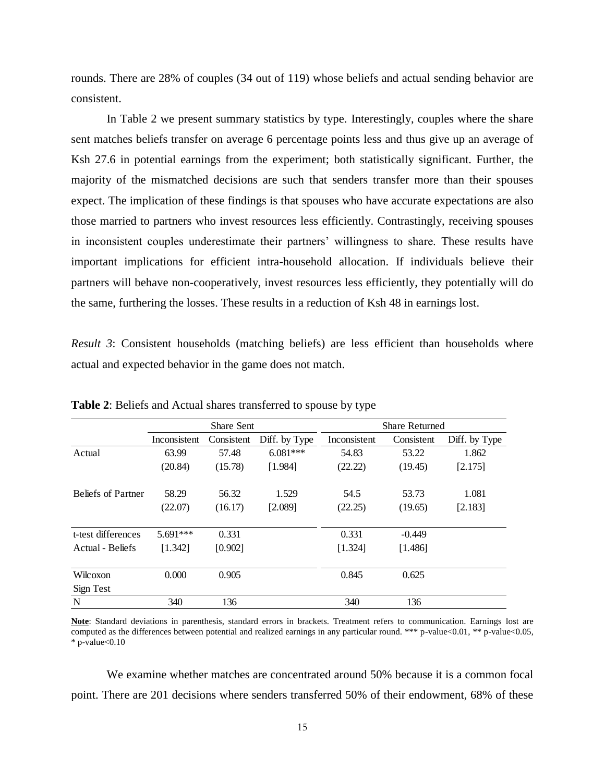rounds. There are 28% of couples (34 out of 119) whose beliefs and actual sending behavior are consistent.

In Table 2 we present summary statistics by type. Interestingly, couples where the share sent matches beliefs transfer on average 6 percentage points less and thus give up an average of Ksh 27.6 in potential earnings from the experiment; both statistically significant. Further, the majority of the mismatched decisions are such that senders transfer more than their spouses expect. The implication of these findings is that spouses who have accurate expectations are also those married to partners who invest resources less efficiently. Contrastingly, receiving spouses in inconsistent couples underestimate their partners' willingness to share. These results have important implications for efficient intra-household allocation. If individuals believe their partners will behave non-cooperatively, invest resources less efficiently, they potentially will do the same, furthering the losses. These results in a reduction of Ksh 48 in earnings lost.

*Result* 3: Consistent households (matching beliefs) are less efficient than households where actual and expected behavior in the game does not match.

|                           |              | <b>Share Sent</b> |               | <b>Share Returned</b> |            |               |  |  |
|---------------------------|--------------|-------------------|---------------|-----------------------|------------|---------------|--|--|
|                           | Inconsistent | Consistent        | Diff. by Type | Inconsistent          | Consistent | Diff. by Type |  |  |
| Actual                    | 63.99        | 57.48             | $6.081***$    | 54.83                 | 53.22      | 1.862         |  |  |
|                           | (20.84)      | (15.78)           | [1.984]       | (22.22)               | (19.45)    | [2.175]       |  |  |
|                           |              |                   |               |                       |            |               |  |  |
| <b>Beliefs of Partner</b> | 58.29        | 56.32             | 1.529         | 54.5                  | 53.73      | 1.081         |  |  |
|                           | (22.07)      | (16.17)           | [2.089]       | (22.25)               | (19.65)    | [2.183]       |  |  |
|                           |              |                   |               |                       |            |               |  |  |
| t-test differences        | $5.691***$   | 0.331             |               | 0.331                 | $-0.449$   |               |  |  |
| Actual - Beliefs          | [1.342]      | [0.902]           |               | [1.324]               | [1.486]    |               |  |  |
|                           |              |                   |               |                       |            |               |  |  |
| Wilcoxon                  | 0.000        | 0.905             |               | 0.845                 | 0.625      |               |  |  |
| Sign Test                 |              |                   |               |                       |            |               |  |  |
| N                         | 340          | 136               |               | 340                   | 136        |               |  |  |

**Table 2**: Beliefs and Actual shares transferred to spouse by type

**Note**: Standard deviations in parenthesis, standard errors in brackets. Treatment refers to communication. Earnings lost are computed as the differences between potential and realized earnings in any particular round. \*\*\* p-value<0.01, \*\* p-value<0.05,  $*$  p-value $< 0.10$ 

We examine whether matches are concentrated around 50% because it is a common focal point. There are 201 decisions where senders transferred 50% of their endowment, 68% of these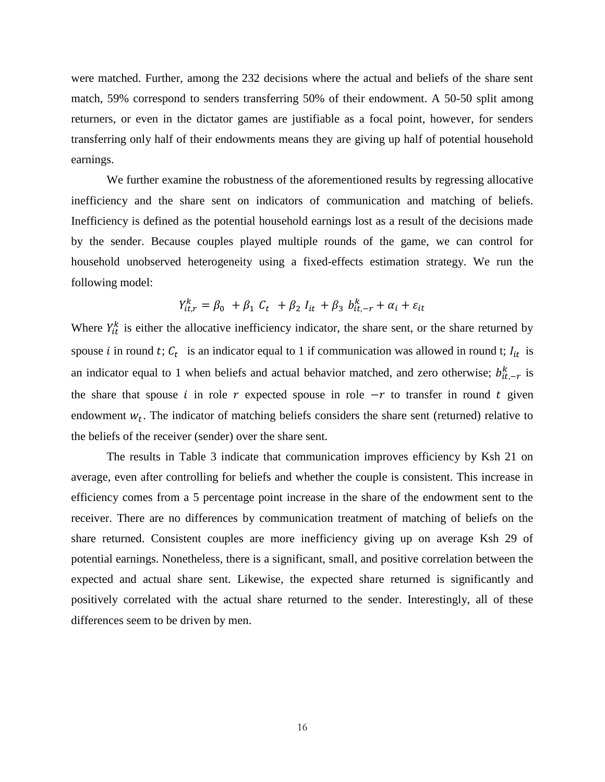were matched. Further, among the 232 decisions where the actual and beliefs of the share sent match, 59% correspond to senders transferring 50% of their endowment. A 50-50 split among returners, or even in the dictator games are justifiable as a focal point, however, for senders transferring only half of their endowments means they are giving up half of potential household earnings.

We further examine the robustness of the aforementioned results by regressing allocative inefficiency and the share sent on indicators of communication and matching of beliefs. Inefficiency is defined as the potential household earnings lost as a result of the decisions made by the sender. Because couples played multiple rounds of the game, we can control for household unobserved heterogeneity using a fixed-effects estimation strategy. We run the following model:

$$
Y_{it,r}^k = \beta_0 + \beta_1 C_t + \beta_2 I_{it} + \beta_3 b_{it,-r}^k + \alpha_i + \varepsilon_{it}
$$

Where  $Y_{it}^{k}$  is either the allocative inefficiency indicator, the share sent, or the share returned by spouse *i* in round *t*;  $C_t$  is an indicator equal to 1 if communication was allowed in round *t*;  $I_{it}$  is an indicator equal to 1 when beliefs and actual behavior matched, and zero otherwise;  $b_{it,-r}^k$  is the share that spouse *i* in role  $r$  expected spouse in role  $-r$  to transfer in round  $t$  given endowment  $w_t$ . The indicator of matching beliefs considers the share sent (returned) relative to the beliefs of the receiver (sender) over the share sent.

The results in Table 3 indicate that communication improves efficiency by Ksh 21 on average, even after controlling for beliefs and whether the couple is consistent. This increase in efficiency comes from a 5 percentage point increase in the share of the endowment sent to the receiver. There are no differences by communication treatment of matching of beliefs on the share returned. Consistent couples are more inefficiency giving up on average Ksh 29 of potential earnings. Nonetheless, there is a significant, small, and positive correlation between the expected and actual share sent. Likewise, the expected share returned is significantly and positively correlated with the actual share returned to the sender. Interestingly, all of these differences seem to be driven by men.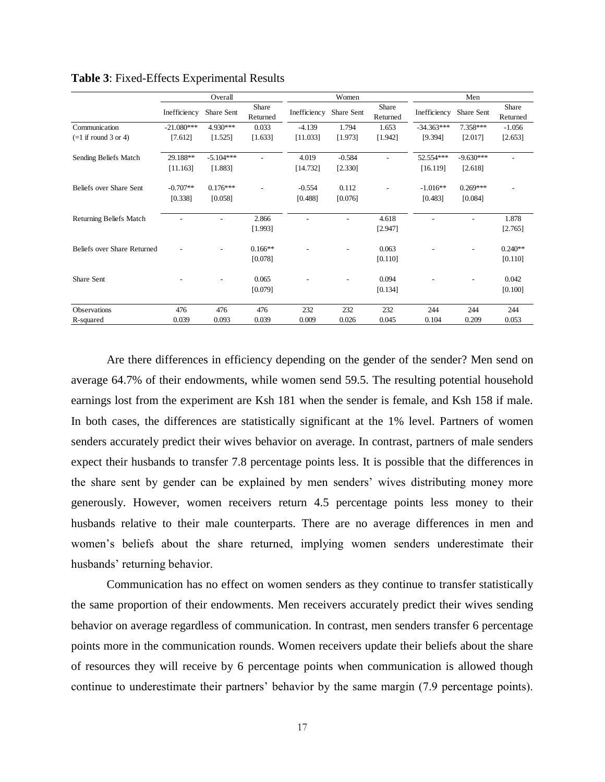|                             | Overall      |             |                   |              | Women      |                   |              | Men         |                   |  |  |
|-----------------------------|--------------|-------------|-------------------|--------------|------------|-------------------|--------------|-------------|-------------------|--|--|
|                             | Inefficiency | Share Sent  | Share<br>Returned | Inefficiency | Share Sent | Share<br>Returned | Inefficiency | Share Sent  | Share<br>Returned |  |  |
| Communication               | $-21.080***$ | 4.930***    | 0.033             | $-4.139$     | 1.794      | 1.653             | $-34.363***$ | $7.358***$  | $-1.056$          |  |  |
| $(=1$ if round 3 or 4)      | [7.612]      | [1.525]     | [1.633]           | [11.033]     | [1.973]    | [1.942]           | [9.394]      | [2.017]     | [2.653]           |  |  |
| Sending Beliefs Match       | 29.188**     | $-5.104***$ | $\overline{a}$    | 4.019        | $-0.584$   |                   | 52.554***    | $-9.630***$ |                   |  |  |
|                             | [11.163]     | [1.883]     |                   | [14.732]     | [2.330]    |                   | [16.119]     | [2.618]     |                   |  |  |
| Beliefs over Share Sent     | $-0.707**$   | $0.176***$  |                   | $-0.554$     | 0.112      |                   | $-1.016**$   | $0.269***$  |                   |  |  |
|                             | [0.338]      | [0.058]     |                   | [0.488]      | [0.076]    |                   | [0.483]      | [0.084]     |                   |  |  |
| Returning Beliefs Match     |              |             | 2.866             |              |            | 4.618             |              |             | 1.878             |  |  |
|                             |              |             | [1.993]           |              |            | [2.947]           |              |             | [2.765]           |  |  |
| Beliefs over Share Returned |              |             | $0.166**$         |              |            | 0.063             |              |             | $0.240**$         |  |  |
|                             |              |             | [0.078]           |              |            | [0.110]           |              |             | [0.110]           |  |  |
| Share Sent                  |              |             | 0.065             |              |            | 0.094             |              |             | 0.042             |  |  |
|                             |              |             | [0.079]           |              |            | [0.134]           |              |             | [0.100]           |  |  |
| Observations                | 476          | 476         | 476               | 232          | 232        | 232               | 244          | 244         | 244               |  |  |
| R-squared                   | 0.039        | 0.093       | 0.039             | 0.009        | 0.026      | 0.045             | 0.104        | 0.209       | 0.053             |  |  |

**Table 3**: Fixed-Effects Experimental Results

Are there differences in efficiency depending on the gender of the sender? Men send on average 64.7% of their endowments, while women send 59.5. The resulting potential household earnings lost from the experiment are Ksh 181 when the sender is female, and Ksh 158 if male. In both cases, the differences are statistically significant at the 1% level. Partners of women senders accurately predict their wives behavior on average. In contrast, partners of male senders expect their husbands to transfer 7.8 percentage points less. It is possible that the differences in the share sent by gender can be explained by men senders' wives distributing money more generously. However, women receivers return 4.5 percentage points less money to their husbands relative to their male counterparts. There are no average differences in men and women's beliefs about the share returned, implying women senders underestimate their husbands' returning behavior.

Communication has no effect on women senders as they continue to transfer statistically the same proportion of their endowments. Men receivers accurately predict their wives sending behavior on average regardless of communication. In contrast, men senders transfer 6 percentage points more in the communication rounds. Women receivers update their beliefs about the share of resources they will receive by 6 percentage points when communication is allowed though continue to underestimate their partners' behavior by the same margin (7.9 percentage points).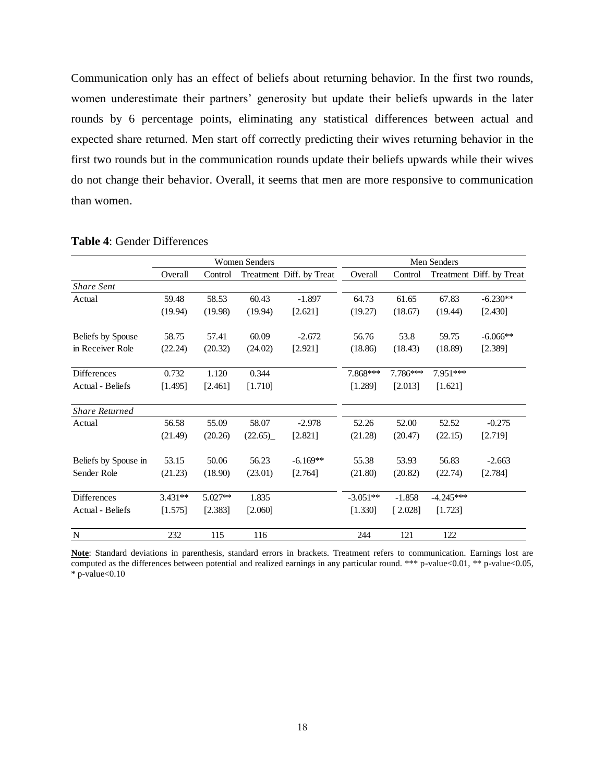Communication only has an effect of beliefs about returning behavior. In the first two rounds, women underestimate their partners' generosity but update their beliefs upwards in the later rounds by 6 percentage points, eliminating any statistical differences between actual and expected share returned. Men start off correctly predicting their wives returning behavior in the first two rounds but in the communication rounds update their beliefs upwards while their wives do not change their behavior. Overall, it seems that men are more responsive to communication than women.

|                       |           |         | <b>Women Senders</b> |                          | Men Senders |          |             |                          |  |
|-----------------------|-----------|---------|----------------------|--------------------------|-------------|----------|-------------|--------------------------|--|
|                       | Overall   | Control |                      | Treatment Diff. by Treat | Overall     | Control  |             | Treatment Diff. by Treat |  |
| <b>Share Sent</b>     |           |         |                      |                          |             |          |             |                          |  |
| Actual                | 59.48     | 58.53   | 60.43                | $-1.897$                 | 64.73       | 61.65    | 67.83       | $-6.230**$               |  |
|                       | (19.94)   | (19.98) | (19.94)              | [2.621]                  | (19.27)     | (18.67)  | (19.44)     | [2.430]                  |  |
| Beliefs by Spouse     | 58.75     | 57.41   | 60.09                | $-2.672$                 | 56.76       | 53.8     | 59.75       | $-6.066**$               |  |
| in Receiver Role      | (22.24)   | (20.32) | (24.02)              | [2.921]                  | (18.86)     | (18.43)  | (18.89)     | [2.389]                  |  |
| <b>Differences</b>    | 0.732     | 1.120   | 0.344                |                          | 7.868***    | 7.786*** | 7.951***    |                          |  |
| Actual - Beliefs      | [1.495]   | [2.461] | [1.710]              |                          | [1.289]     | [2.013]  | [1.621]     |                          |  |
| <b>Share Returned</b> |           |         |                      |                          |             |          |             |                          |  |
| Actual                | 56.58     | 55.09   | 58.07                | $-2.978$                 | 52.26       | 52.00    | 52.52       | $-0.275$                 |  |
|                       | (21.49)   | (20.26) | (22.65)              | [2.821]                  | (21.28)     | (20.47)  | (22.15)     | [2.719]                  |  |
| Beliefs by Spouse in  | 53.15     | 50.06   | 56.23                | $-6.169**$               | 55.38       | 53.93    | 56.83       | $-2.663$                 |  |
| Sender Role           | (21.23)   | (18.90) | (23.01)              | [2.764]                  | (21.80)     | (20.82)  | (22.74)     | [2.784]                  |  |
| Differences           | $3.431**$ | 5.027** | 1.835                |                          | $-3.051**$  | $-1.858$ | $-4.245***$ |                          |  |
| Actual - Beliefs      | [1.575]   | [2.383] | [2.060]              |                          | [1.330]     | [2.028]  | [1.723]     |                          |  |
| $\mathbf N$           | 232       | 115     | 116                  |                          | 244         | 121      | 122         |                          |  |

#### **Table 4**: Gender Differences

**Note**: Standard deviations in parenthesis, standard errors in brackets. Treatment refers to communication. Earnings lost are computed as the differences between potential and realized earnings in any particular round. \*\*\* p-value<0.01, \*\* p-value<0.05,  $*$  p-value $< 0.10$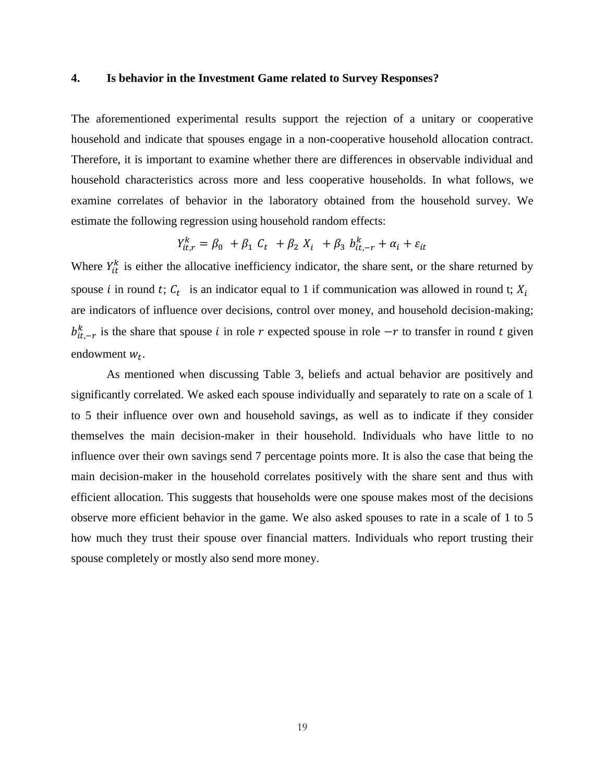#### **4. Is behavior in the Investment Game related to Survey Responses?**

The aforementioned experimental results support the rejection of a unitary or cooperative household and indicate that spouses engage in a non-cooperative household allocation contract. Therefore, it is important to examine whether there are differences in observable individual and household characteristics across more and less cooperative households. In what follows, we examine correlates of behavior in the laboratory obtained from the household survey. We estimate the following regression using household random effects:

$$
Y_{it,r}^k = \beta_0 + \beta_1 C_t + \beta_2 X_i + \beta_3 b_{it,-r}^k + \alpha_i + \varepsilon_{it}
$$

Where  $Y_{it}^{k}$  is either the allocative inefficiency indicator, the share sent, or the share returned by spouse *i* in round *t*;  $C_t$  is an indicator equal to 1 if communication was allowed in round *t*;  $X_i$ are indicators of influence over decisions, control over money, and household decision-making;  $b_{it,-r}^k$  is the share that spouse *i* in role r expected spouse in role  $-r$  to transfer in round t given endowment  $w_t$ .

As mentioned when discussing Table 3, beliefs and actual behavior are positively and significantly correlated. We asked each spouse individually and separately to rate on a scale of 1 to 5 their influence over own and household savings, as well as to indicate if they consider themselves the main decision-maker in their household. Individuals who have little to no influence over their own savings send 7 percentage points more. It is also the case that being the main decision-maker in the household correlates positively with the share sent and thus with efficient allocation. This suggests that households were one spouse makes most of the decisions observe more efficient behavior in the game. We also asked spouses to rate in a scale of 1 to 5 how much they trust their spouse over financial matters. Individuals who report trusting their spouse completely or mostly also send more money.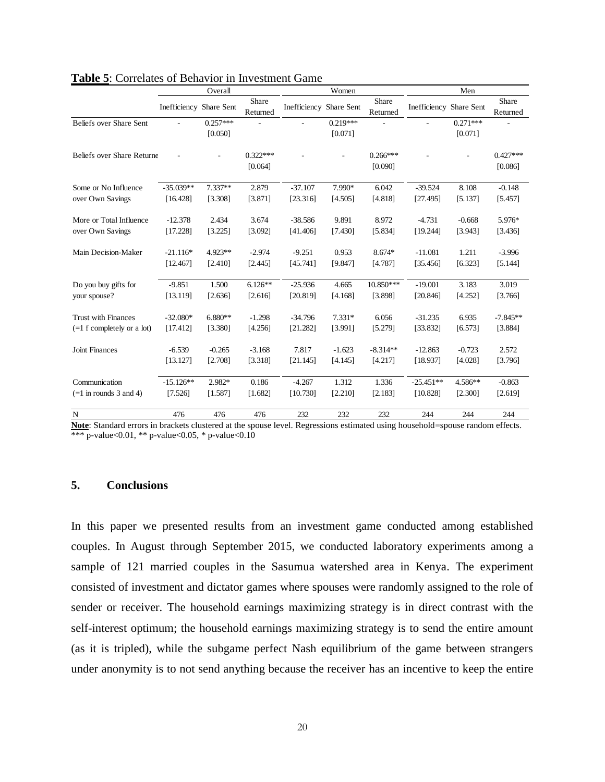|                              | Overall                 |                       |                       |                         | Women                 |                       | Men                            |                       |                       |
|------------------------------|-------------------------|-----------------------|-----------------------|-------------------------|-----------------------|-----------------------|--------------------------------|-----------------------|-----------------------|
|                              | Inefficiency Share Sent |                       | Share<br>Returned     | Inefficiency Share Sent |                       | Share<br>Returned     | <b>Inefficiency Share Sent</b> |                       | Share<br>Returned     |
| Beliefs over Share Sent      |                         | $0.257***$<br>[0.050] |                       |                         | $0.219***$<br>[0.071] |                       |                                | $0.271***$<br>[0.071] |                       |
| Beliefs over Share Returne   |                         |                       | $0.322***$<br>[0.064] |                         |                       | $0.266***$<br>[0.090] |                                |                       | $0.427***$<br>[0.086] |
| Some or No Influence         | $-35.039**$             | $7.337**$             | 2.879                 | $-37.107$               | 7.990*                | 6.042                 | $-39.524$                      | 8.108                 | $-0.148$              |
| over Own Savings             | [16.428]                | [3.308]               | [3.871]               | [23.316]                | [4.505]               | [4.818]               | [27.495]                       | [5.137]               | [5.457]               |
| More or Total Influence      | $-12.378$               | 2.434                 | 3.674                 | $-38.586$               | 9.891                 | 8.972                 | $-4.731$                       | $-0.668$              | 5.976*                |
| over Own Savings             | [17.228]                | [3.225]               | [3.092]               | [41.406]                | [7.430]               | [5.834]               | [19.244]                       | [3.943]               | [3.436]               |
| Main Decision-Maker          | $-21.116*$              | $4.923**$             | $-2.974$              | $-9.251$                | 0.953                 | 8.674*                | $-11.081$                      | 1.211                 | $-3.996$              |
|                              | [12.467]                | [2.410]               | [2.445]               | [45.741]                | [9.847]               | [4.787]               | [35.456]                       | [6.323]               | [5.144]               |
| Do you buy gifts for         | $-9.851$                | 1.500                 | $6.126**$             | $-25.936$               | 4.665                 | 10.850***             | $-19.001$                      | 3.183                 | 3.019                 |
| your spouse?                 | [13.119]                | [2.636]               | [2.616]               | [20.819]                | [4.168]               | [3.898]               | [20.846]                       | [4.252]               | [3.766]               |
| <b>Trust with Finances</b>   | $-32.080*$              | $6.880**$             | $-1.298$              | $-34.796$               | $7.331*$              | 6.056                 | $-31.235$                      | 6.935                 | $-7.845**$            |
| $(=1 f$ completely or a lot) | [17.412]                | [3.380]               | [4.256]               | [21.282]                | [3.991]               | [5.279]               | [33.832]                       | [6.573]               | [3.884]               |
| <b>Joint Finances</b>        | $-6.539$                | $-0.265$              | $-3.168$              | 7.817                   | $-1.623$              | $-8.314**$            | $-12.863$                      | $-0.723$              | 2.572                 |
|                              | [13.127]                | [2.708]               | [3.318]               | [21.145]                | [4.145]               | [4.217]               | [18.937]                       | [4.028]               | [3.796]               |
| Communication                | $-15.126**$             | 2.982*                | 0.186                 | $-4.267$                | 1.312                 | 1.336                 | $-25.451**$                    | 4.586**               | $-0.863$              |
| $(=1$ in rounds 3 and 4)     | [7.526]                 | [1.587]               | [1.682]               | [10.730]                | [2.210]               | [2.183]               | [10.828]                       | [2.300]               | [2.619]               |
| $\mathbf N$                  | 476                     | 476                   | 476                   | 232                     | 232                   | 232                   | 244                            | 244                   | 244                   |

#### **Table 5**: Correlates of Behavior in Investment Game

**Note**: Standard errors in brackets clustered at the spouse level. Regressions estimated using household=spouse random effects. \*\*\* p-value< $0.01$ , \*\* p-value< $0.05$ , \* p-value< $0.10$ 

#### **5. Conclusions**

In this paper we presented results from an investment game conducted among established couples. In August through September 2015, we conducted laboratory experiments among a sample of 121 married couples in the Sasumua watershed area in Kenya. The experiment consisted of investment and dictator games where spouses were randomly assigned to the role of sender or receiver. The household earnings maximizing strategy is in direct contrast with the self-interest optimum; the household earnings maximizing strategy is to send the entire amount (as it is tripled), while the subgame perfect Nash equilibrium of the game between strangers under anonymity is to not send anything because the receiver has an incentive to keep the entire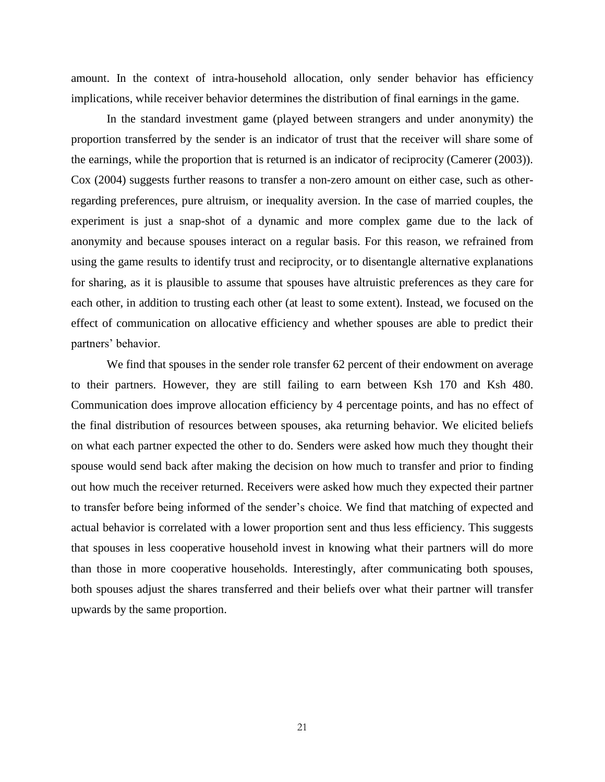amount. In the context of intra-household allocation, only sender behavior has efficiency implications, while receiver behavior determines the distribution of final earnings in the game.

In the standard investment game (played between strangers and under anonymity) the proportion transferred by the sender is an indicator of trust that the receiver will share some of the earnings, while the proportion that is returned is an indicator of reciprocity (Camerer (2003)). Cox (2004) suggests further reasons to transfer a non-zero amount on either case, such as otherregarding preferences, pure altruism, or inequality aversion. In the case of married couples, the experiment is just a snap-shot of a dynamic and more complex game due to the lack of anonymity and because spouses interact on a regular basis. For this reason, we refrained from using the game results to identify trust and reciprocity, or to disentangle alternative explanations for sharing, as it is plausible to assume that spouses have altruistic preferences as they care for each other, in addition to trusting each other (at least to some extent). Instead, we focused on the effect of communication on allocative efficiency and whether spouses are able to predict their partners' behavior.

We find that spouses in the sender role transfer 62 percent of their endowment on average to their partners. However, they are still failing to earn between Ksh 170 and Ksh 480. Communication does improve allocation efficiency by 4 percentage points, and has no effect of the final distribution of resources between spouses, aka returning behavior. We elicited beliefs on what each partner expected the other to do. Senders were asked how much they thought their spouse would send back after making the decision on how much to transfer and prior to finding out how much the receiver returned. Receivers were asked how much they expected their partner to transfer before being informed of the sender's choice. We find that matching of expected and actual behavior is correlated with a lower proportion sent and thus less efficiency. This suggests that spouses in less cooperative household invest in knowing what their partners will do more than those in more cooperative households. Interestingly, after communicating both spouses, both spouses adjust the shares transferred and their beliefs over what their partner will transfer upwards by the same proportion.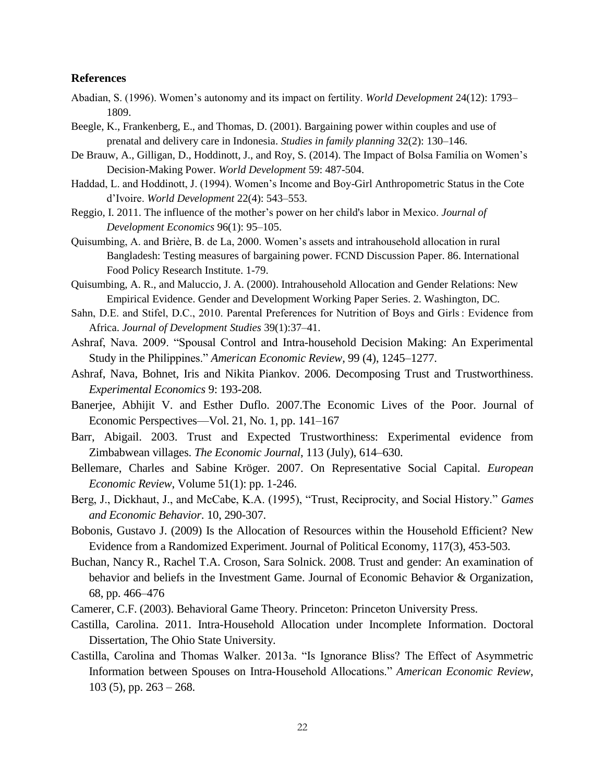#### **References**

- Abadian, S. (1996). Women's autonomy and its impact on fertility. *World Development* 24(12): 1793– 1809.
- Beegle, K., Frankenberg, E., and Thomas, D. (2001). Bargaining power within couples and use of prenatal and delivery care in Indonesia. *Studies in family planning* 32(2): 130–146.
- De Brauw, A., Gilligan, D., Hoddinott, J., and Roy, S. (2014). The Impact of Bolsa Família on Women's Decision-Making Power. *World Development* 59: 487-504.
- Haddad, L. and Hoddinott, J. (1994). Women's Income and Boy-Girl Anthropometric Status in the Cote d'Ivoire. *World Development* 22(4): 543–553.
- Reggio, I. 2011. The influence of the mother's power on her child's labor in Mexico. *Journal of Development Economics* 96(1): 95–105.
- Quisumbing, A. and Brière, B. de La, 2000. Women's assets and intrahousehold allocation in rural Bangladesh: Testing measures of bargaining power. FCND Discussion Paper. 86. International Food Policy Research Institute. 1-79.
- Quisumbing, A. R., and Maluccio, J. A. (2000). Intrahousehold Allocation and Gender Relations: New Empirical Evidence. Gender and Development Working Paper Series. 2. Washington, DC.
- Sahn, D.E. and Stifel, D.C., 2010. Parental Preferences for Nutrition of Boys and Girls : Evidence from Africa. *Journal of Development Studies* 39(1):37–41.
- Ashraf, Nava. 2009. "Spousal Control and Intra-household Decision Making: An Experimental Study in the Philippines." *American Economic Review*, 99 (4), 1245–1277.
- Ashraf, Nava, Bohnet, Iris and Nikita Piankov. 2006. Decomposing Trust and Trustworthiness. *Experimental Economics* 9: 193-208.
- Banerjee, Abhijit V. and Esther Duflo. 2007.The Economic Lives of the Poor. Journal of Economic Perspectives—Vol. 21, No. 1, pp. 141–167
- Barr, Abigail. 2003. Trust and Expected Trustworthiness: Experimental evidence from Zimbabwean villages. *The Economic Journal*, 113 (July), 614–630.
- Bellemare, Charles and Sabine Kröger. 2007. On Representative Social Capital. *European Economic Review*, Volume 51(1): pp. 1-246.
- Berg, J., Dickhaut, J., and McCabe, K.A. (1995), "Trust, Reciprocity, and Social History." *Games and Economic Behavior*. 10, 290-307.
- Bobonis, Gustavo J. (2009) Is the Allocation of Resources within the Household Efficient? New Evidence from a Randomized Experiment. Journal of Political Economy, 117(3), 453-503.
- Buchan, Nancy R., Rachel T.A. Croson, Sara Solnick. 2008. Trust and gender: An examination of behavior and beliefs in the Investment Game. Journal of Economic Behavior & Organization, 68, pp. 466–476
- Camerer, C.F. (2003). Behavioral Game Theory. Princeton: Princeton University Press.
- Castilla, Carolina. 2011. Intra-Household Allocation under Incomplete Information. Doctoral Dissertation, The Ohio State University.
- Castilla, Carolina and Thomas Walker. 2013a. "Is Ignorance Bliss? The Effect of Asymmetric Information between Spouses on Intra-Household Allocations." *American Economic Review*,  $103$  (5), pp.  $263 - 268$ .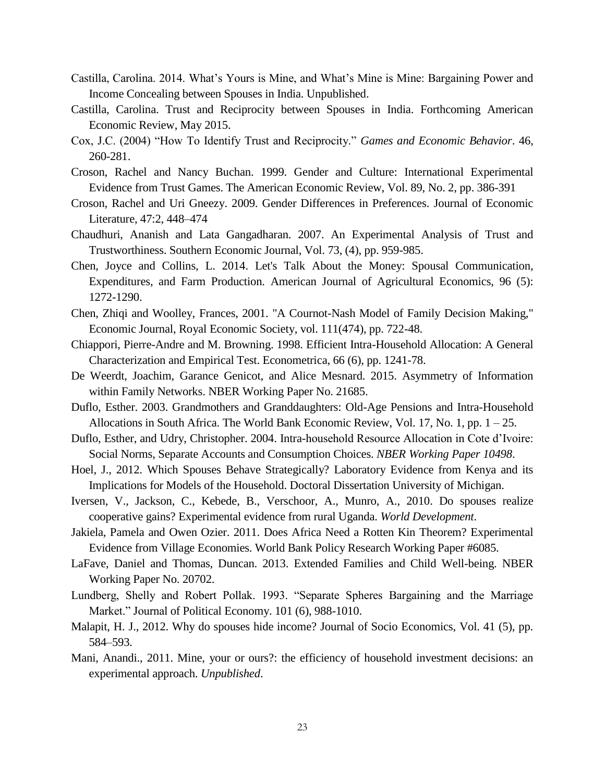- Castilla, Carolina. 2014. What's Yours is Mine, and What's Mine is Mine: Bargaining Power and Income Concealing between Spouses in India. Unpublished.
- Castilla, Carolina. Trust and Reciprocity between Spouses in India. Forthcoming American Economic Review, May 2015.
- Cox, J.C. (2004) "How To Identify Trust and Reciprocity." *Games and Economic Behavior*. 46, 260-281.
- Croson, Rachel and Nancy Buchan. 1999. Gender and Culture: International Experimental Evidence from Trust Games. The American Economic Review, Vol. 89, No. 2, pp. 386-391
- Croson, Rachel and Uri Gneezy. 2009. Gender Differences in Preferences. Journal of Economic Literature, 47:2, 448–474
- Chaudhuri, Ananish and Lata Gangadharan. 2007. An Experimental Analysis of Trust and Trustworthiness. Southern Economic Journal, Vol. 73, (4), pp. 959-985.
- Chen, Joyce and Collins, L. 2014. Let's Talk About the Money: Spousal Communication, Expenditures, and Farm Production. American Journal of Agricultural Economics, 96 (5): 1272-1290.
- Chen, Zhiqi and Woolley, Frances, 2001. "A Cournot-Nash Model of Family Decision Making," Economic Journal, Royal Economic Society, vol. 111(474), pp. 722-48.
- Chiappori, Pierre-Andre and M. Browning. 1998. Efficient Intra-Household Allocation: A General Characterization and Empirical Test. Econometrica, 66 (6), pp. 1241-78.
- De Weerdt, Joachim, Garance Genicot, and Alice Mesnard. 2015. Asymmetry of Information within Family Networks. NBER Working Paper No. 21685.
- Duflo, Esther. 2003. Grandmothers and Granddaughters: Old-Age Pensions and Intra-Household Allocations in South Africa. The World Bank Economic Review, Vol. 17, No. 1, pp. 1 – 25.
- Duflo, Esther, and Udry, Christopher. 2004. Intra-household Resource Allocation in Cote d'Ivoire: Social Norms, Separate Accounts and Consumption Choices. *NBER Working Paper 10498*.
- Hoel, J., 2012. Which Spouses Behave Strategically? Laboratory Evidence from Kenya and its Implications for Models of the Household. Doctoral Dissertation University of Michigan.
- Iversen, V., Jackson, C., Kebede, B., Verschoor, A., Munro, A., 2010. Do spouses realize cooperative gains? Experimental evidence from rural Uganda. *World Development*.
- Jakiela, Pamela and Owen Ozier. 2011. Does Africa Need a Rotten Kin Theorem? Experimental Evidence from Village Economies. World Bank Policy Research Working Paper #6085.
- LaFave, Daniel and Thomas, Duncan. 2013. Extended Families and Child Well-being. NBER Working Paper No. 20702.
- Lundberg, Shelly and Robert Pollak. 1993. "Separate Spheres Bargaining and the Marriage Market." Journal of Political Economy. 101 (6), 988-1010.
- Malapit, H. J., 2012. Why do spouses hide income? Journal of Socio Economics, Vol. 41 (5), pp. 584–593.
- Mani, Anandi., 2011. Mine, your or ours?: the efficiency of household investment decisions: an experimental approach. *Unpublished*.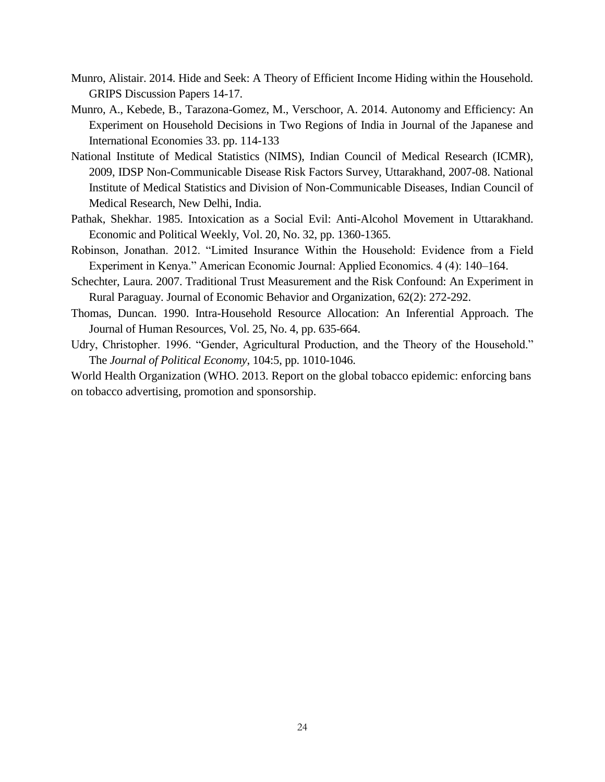- Munro, Alistair. 2014. Hide and Seek: A Theory of Efficient Income Hiding within the Household. GRIPS Discussion Papers 14-17.
- Munro, A., Kebede, B., Tarazona-Gomez, M., Verschoor, A. 2014. Autonomy and Efficiency: An Experiment on Household Decisions in Two Regions of India in Journal of the Japanese and International Economies 33. pp. 114-133
- National Institute of Medical Statistics (NIMS), Indian Council of Medical Research (ICMR), 2009, IDSP Non-Communicable Disease Risk Factors Survey, Uttarakhand, 2007-08. National Institute of Medical Statistics and Division of Non-Communicable Diseases, Indian Council of Medical Research, New Delhi, India.
- Pathak, Shekhar. 1985. Intoxication as a Social Evil: Anti-Alcohol Movement in Uttarakhand. Economic and Political Weekly, Vol. 20, No. 32, pp. 1360-1365.
- Robinson, Jonathan. 2012. "Limited Insurance Within the Household: Evidence from a Field Experiment in Kenya." American Economic Journal: Applied Economics. 4 (4): 140–164.
- Schechter, Laura. 2007. Traditional Trust Measurement and the Risk Confound: An Experiment in Rural Paraguay. Journal of Economic Behavior and Organization, 62(2): 272-292.
- Thomas, Duncan. 1990. Intra-Household Resource Allocation: An Inferential Approach. The Journal of Human Resources, Vol. 25, No. 4, pp. 635-664.
- Udry, Christopher. 1996. "Gender, Agricultural Production, and the Theory of the Household." The *Journal of Political Economy*, 104:5, pp. 1010-1046.

World Health Organization (WHO. 2013. Report on the global tobacco epidemic: enforcing bans on tobacco advertising, promotion and sponsorship.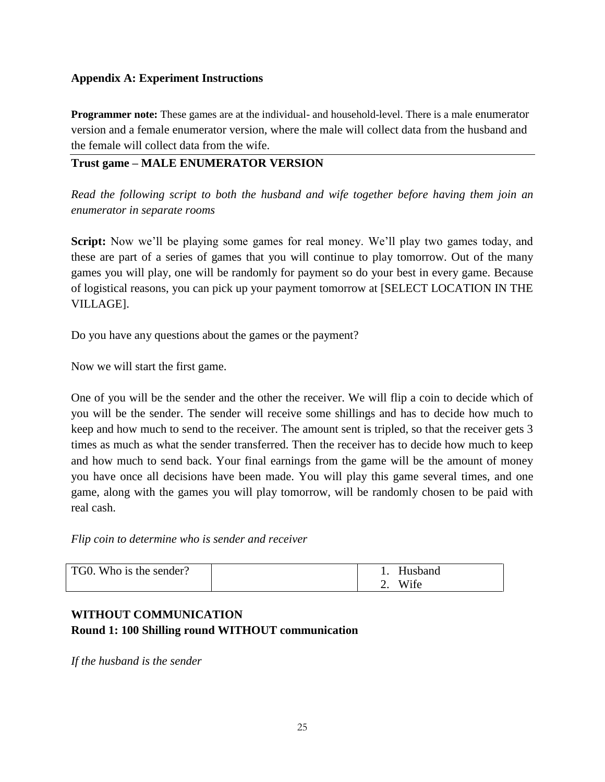## **Appendix A: Experiment Instructions**

**Programmer note:** These games are at the individual- and household-level. There is a male enumerator version and a female enumerator version, where the male will collect data from the husband and the female will collect data from the wife.

## **Trust game – MALE ENUMERATOR VERSION**

*Read the following script to both the husband and wife together before having them join an enumerator in separate rooms*

**Script:** Now we'll be playing some games for real money. We'll play two games today, and these are part of a series of games that you will continue to play tomorrow. Out of the many games you will play, one will be randomly for payment so do your best in every game. Because of logistical reasons, you can pick up your payment tomorrow at [SELECT LOCATION IN THE VILLAGE].

Do you have any questions about the games or the payment?

Now we will start the first game.

One of you will be the sender and the other the receiver. We will flip a coin to decide which of you will be the sender. The sender will receive some shillings and has to decide how much to keep and how much to send to the receiver. The amount sent is tripled, so that the receiver gets 3 times as much as what the sender transferred. Then the receiver has to decide how much to keep and how much to send back. Your final earnings from the game will be the amount of money you have once all decisions have been made. You will play this game several times, and one game, along with the games you will play tomorrow, will be randomly chosen to be paid with real cash.

*Flip coin to determine who is sender and receiver*

| TG0. Who is the sender? |    | Husband |
|-------------------------|----|---------|
|                         | ـ. | Wife    |

# **WITHOUT COMMUNICATION Round 1: 100 Shilling round WITHOUT communication**

*If the husband is the sender*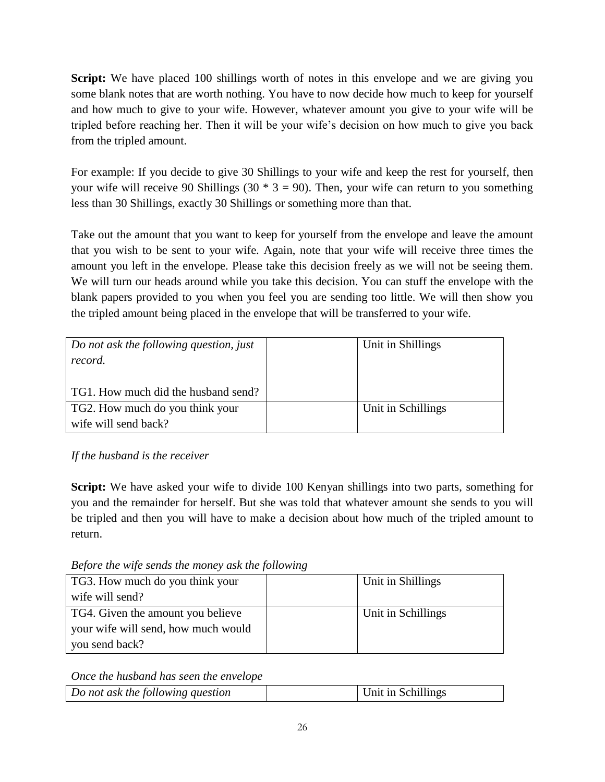**Script:** We have placed 100 shillings worth of notes in this envelope and we are giving you some blank notes that are worth nothing. You have to now decide how much to keep for yourself and how much to give to your wife. However, whatever amount you give to your wife will be tripled before reaching her. Then it will be your wife's decision on how much to give you back from the tripled amount.

For example: If you decide to give 30 Shillings to your wife and keep the rest for yourself, then your wife will receive 90 Shillings (30  $*$  3 = 90). Then, your wife can return to you something less than 30 Shillings, exactly 30 Shillings or something more than that.

Take out the amount that you want to keep for yourself from the envelope and leave the amount that you wish to be sent to your wife. Again, note that your wife will receive three times the amount you left in the envelope. Please take this decision freely as we will not be seeing them. We will turn our heads around while you take this decision. You can stuff the envelope with the blank papers provided to you when you feel you are sending too little. We will then show you the tripled amount being placed in the envelope that will be transferred to your wife.

| Do not ask the following question, just<br>record. | Unit in Shillings  |
|----------------------------------------------------|--------------------|
| TG1. How much did the husband send?                |                    |
| TG2. How much do you think your                    | Unit in Schillings |
| wife will send back?                               |                    |

*If the husband is the receiver*

**Script:** We have asked your wife to divide 100 Kenyan shillings into two parts, something for you and the remainder for herself. But she was told that whatever amount she sends to you will be tripled and then you will have to make a decision about how much of the tripled amount to return.

*Before the wife sends the money ask the following*

| TG3. How much do you think your     | Unit in Shillings  |
|-------------------------------------|--------------------|
| wife will send?                     |                    |
| TG4. Given the amount you believe   | Unit in Schillings |
| your wife will send, how much would |                    |
| you send back?                      |                    |

*Once the husband has seen the envelope*

| Do not ask the following question | Unit in Schillings |
|-----------------------------------|--------------------|
|                                   |                    |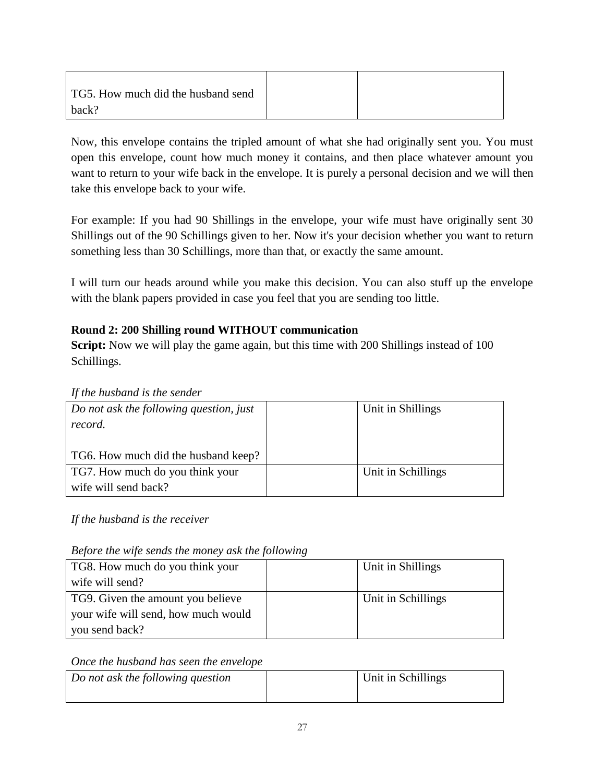| TG5. How much did the husband send |  |
|------------------------------------|--|
| back?                              |  |

Now, this envelope contains the tripled amount of what she had originally sent you. You must open this envelope, count how much money it contains, and then place whatever amount you want to return to your wife back in the envelope. It is purely a personal decision and we will then take this envelope back to your wife.

For example: If you had 90 Shillings in the envelope, your wife must have originally sent 30 Shillings out of the 90 Schillings given to her. Now it's your decision whether you want to return something less than 30 Schillings, more than that, or exactly the same amount.

I will turn our heads around while you make this decision. You can also stuff up the envelope with the blank papers provided in case you feel that you are sending too little.

## **Round 2: 200 Shilling round WITHOUT communication**

**Script:** Now we will play the game again, but this time with 200 Shillings instead of 100 Schillings.

*If the husband is the sender*

| Do not ask the following question, just | Unit in Shillings |                    |
|-----------------------------------------|-------------------|--------------------|
| record.                                 |                   |                    |
|                                         |                   |                    |
| TG6. How much did the husband keep?     |                   |                    |
| TG7. How much do you think your         |                   | Unit in Schillings |
| wife will send back?                    |                   |                    |

*If the husband is the receiver*

|  |  |  |  | Before the wife sends the money ask the following |  |
|--|--|--|--|---------------------------------------------------|--|
|  |  |  |  |                                                   |  |

| TG8. How much do you think your     | Unit in Shillings  |
|-------------------------------------|--------------------|
| wife will send?                     |                    |
| TG9. Given the amount you believe   | Unit in Schillings |
| your wife will send, how much would |                    |
| you send back?                      |                    |

*Once the husband has seen the envelope*

| Do not ask the following question | Unit in Schillings |
|-----------------------------------|--------------------|
|                                   |                    |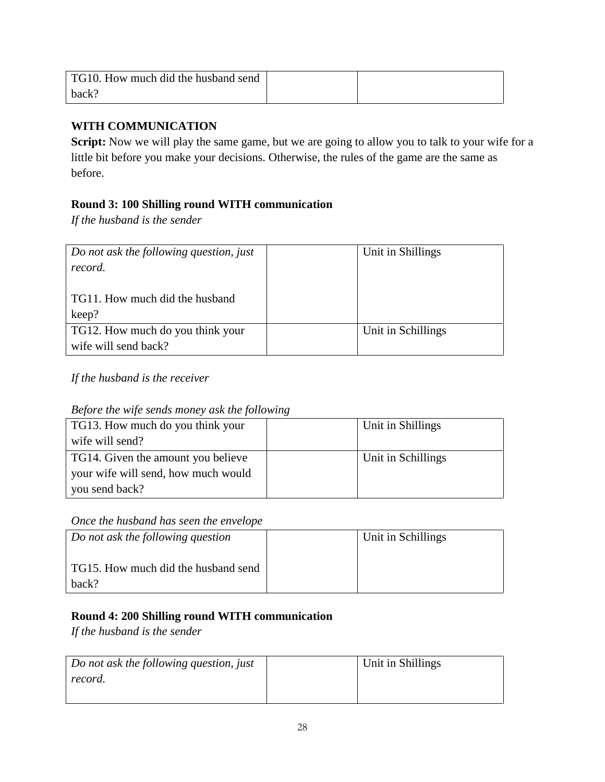| TG10. How much did the husband send |  |
|-------------------------------------|--|
| back?                               |  |

## **WITH COMMUNICATION**

Script: Now we will play the same game, but we are going to allow you to talk to your wife for a little bit before you make your decisions. Otherwise, the rules of the game are the same as before.

## **Round 3: 100 Shilling round WITH communication**

*If the husband is the sender*

| Do not ask the following question, just<br>record.       | Unit in Shillings  |
|----------------------------------------------------------|--------------------|
| TG11. How much did the husband<br>keep?                  |                    |
| TG12. How much do you think your<br>wife will send back? | Unit in Schillings |

*If the husband is the receiver*

*Before the wife sends money ask the following*

| TG13. How much do you think your    | Unit in Shillings  |
|-------------------------------------|--------------------|
| wife will send?                     |                    |
| TG14. Given the amount you believe  | Unit in Schillings |
| your wife will send, how much would |                    |
| you send back?                      |                    |

## *Once the husband has seen the envelope*

| Do not ask the following question            | Unit in Schillings |
|----------------------------------------------|--------------------|
| TG15. How much did the husband send<br>back? |                    |

# **Round 4: 200 Shilling round WITH communication**

*If the husband is the sender*

| Do not ask the following question, just | Unit in Shillings |
|-----------------------------------------|-------------------|
| record.                                 |                   |
|                                         |                   |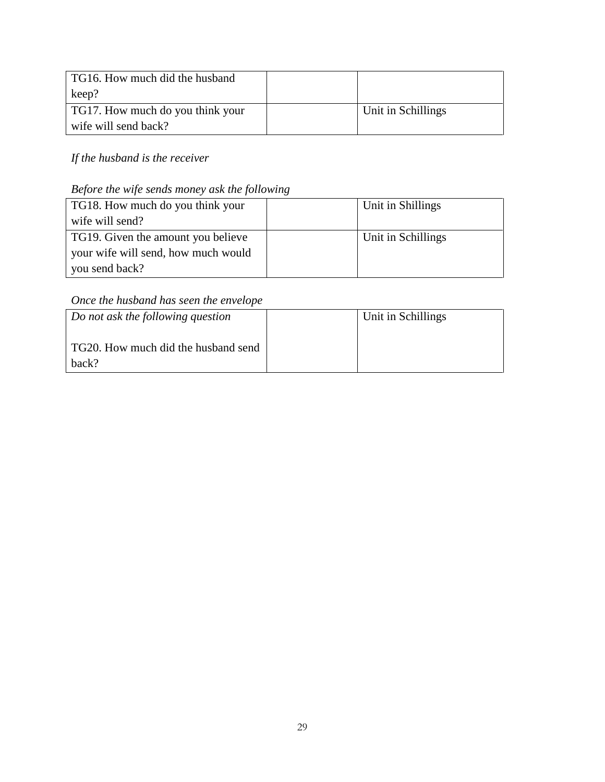| TG16. How much did the husband   |                    |
|----------------------------------|--------------------|
| keep?                            |                    |
| TG17. How much do you think your | Unit in Schillings |
| wife will send back?             |                    |

*If the husband is the receiver*

# *Before the wife sends money ask the following*

| TG18. How much do you think your    | Unit in Shillings  |
|-------------------------------------|--------------------|
| wife will send?                     |                    |
| TG19. Given the amount you believe  | Unit in Schillings |
| your wife will send, how much would |                    |
| you send back?                      |                    |

# *Once the husband has seen the envelope*

| Do not ask the following question            | Unit in Schillings |
|----------------------------------------------|--------------------|
| TG20. How much did the husband send<br>back? |                    |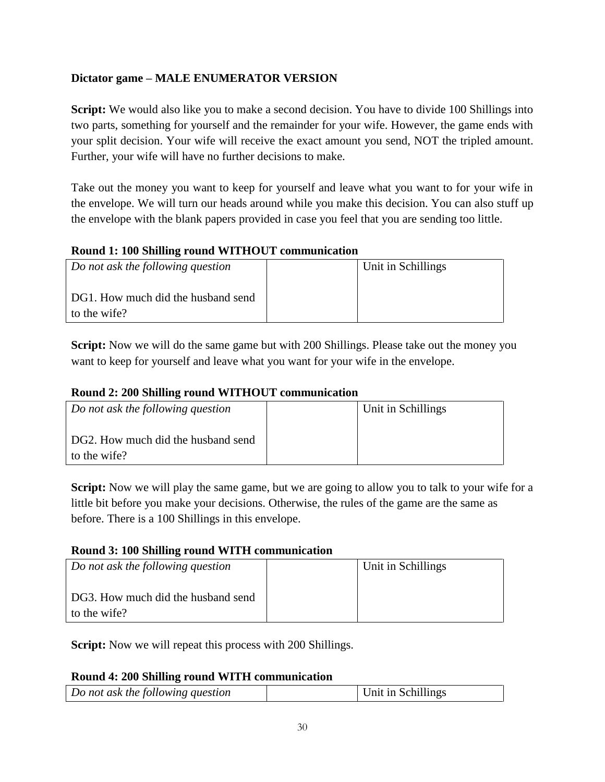## **Dictator game – MALE ENUMERATOR VERSION**

**Script:** We would also like you to make a second decision. You have to divide 100 Shillings into two parts, something for yourself and the remainder for your wife. However, the game ends with your split decision. Your wife will receive the exact amount you send, NOT the tripled amount. Further, your wife will have no further decisions to make.

Take out the money you want to keep for yourself and leave what you want to for your wife in the envelope. We will turn our heads around while you make this decision. You can also stuff up the envelope with the blank papers provided in case you feel that you are sending too little.

### **Round 1: 100 Shilling round WITHOUT communication**

| Do not ask the following question                  | Unit in Schillings |
|----------------------------------------------------|--------------------|
| DG1. How much did the husband send<br>to the wife? |                    |

**Script:** Now we will do the same game but with 200 Shillings. Please take out the money you want to keep for yourself and leave what you want for your wife in the envelope.

## **Round 2: 200 Shilling round WITHOUT communication**

| Do not ask the following question                  | Unit in Schillings |
|----------------------------------------------------|--------------------|
| DG2. How much did the husband send<br>to the wife? |                    |

**Script:** Now we will play the same game, but we are going to allow you to talk to your wife for a little bit before you make your decisions. Otherwise, the rules of the game are the same as before. There is a 100 Shillings in this envelope.

#### **Round 3: 100 Shilling round WITH communication**

| Do not ask the following question  | Unit in Schillings |
|------------------------------------|--------------------|
|                                    |                    |
| DG3. How much did the husband send |                    |
| to the wife?                       |                    |

**Script:** Now we will repeat this process with 200 Shillings.

## **Round 4: 200 Shilling round WITH communication**

| Do not ask the following question | Unit in Schillings |
|-----------------------------------|--------------------|
|                                   |                    |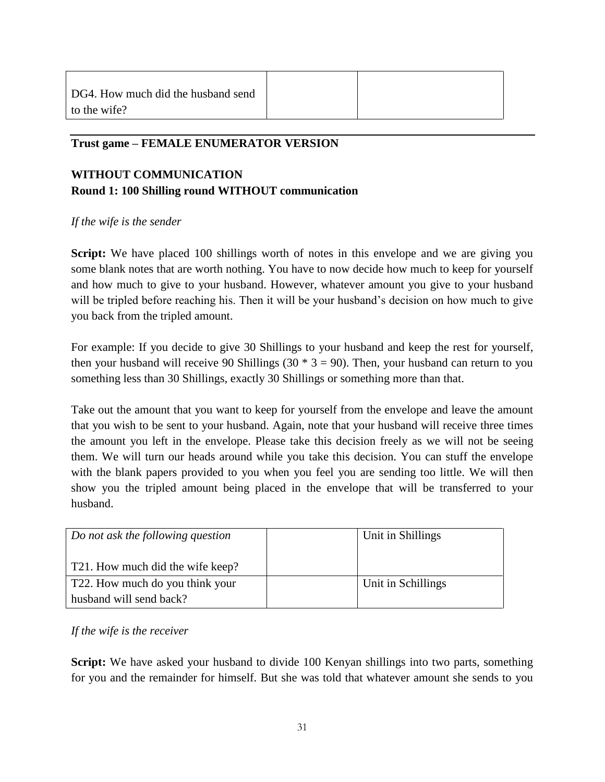### **Trust game – FEMALE ENUMERATOR VERSION**

# **WITHOUT COMMUNICATION Round 1: 100 Shilling round WITHOUT communication**

#### *If the wife is the sender*

**Script:** We have placed 100 shillings worth of notes in this envelope and we are giving you some blank notes that are worth nothing. You have to now decide how much to keep for yourself and how much to give to your husband. However, whatever amount you give to your husband will be tripled before reaching his. Then it will be your husband's decision on how much to give you back from the tripled amount.

For example: If you decide to give 30 Shillings to your husband and keep the rest for yourself, then your husband will receive 90 Shillings (30  $*$  3 = 90). Then, your husband can return to you something less than 30 Shillings, exactly 30 Shillings or something more than that.

Take out the amount that you want to keep for yourself from the envelope and leave the amount that you wish to be sent to your husband. Again, note that your husband will receive three times the amount you left in the envelope. Please take this decision freely as we will not be seeing them. We will turn our heads around while you take this decision. You can stuff the envelope with the blank papers provided to you when you feel you are sending too little. We will then show you the tripled amount being placed in the envelope that will be transferred to your husband.

| Do not ask the following question | Unit in Shillings  |
|-----------------------------------|--------------------|
| T21. How much did the wife keep?  |                    |
| T22. How much do you think your   | Unit in Schillings |
| husband will send back?           |                    |

#### *If the wife is the receiver*

**Script:** We have asked your husband to divide 100 Kenyan shillings into two parts, something for you and the remainder for himself. But she was told that whatever amount she sends to you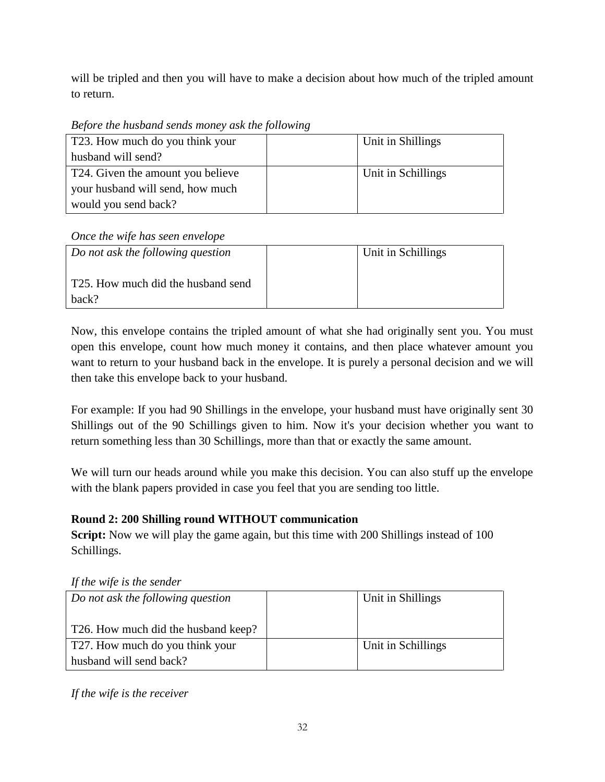will be tripled and then you will have to make a decision about how much of the tripled amount to return.

*Before the husband sends money ask the following*

| T23. How much do you think your   | Unit in Shillings  |
|-----------------------------------|--------------------|
| husband will send?                |                    |
| T24. Given the amount you believe | Unit in Schillings |
| your husband will send, how much  |                    |
| would you send back?              |                    |

# *Once the wife has seen envelope*

| Do not ask the following question           | Unit in Schillings |
|---------------------------------------------|--------------------|
| T25. How much did the husband send<br>hack? |                    |

Now, this envelope contains the tripled amount of what she had originally sent you. You must open this envelope, count how much money it contains, and then place whatever amount you want to return to your husband back in the envelope. It is purely a personal decision and we will then take this envelope back to your husband.

For example: If you had 90 Shillings in the envelope, your husband must have originally sent 30 Shillings out of the 90 Schillings given to him. Now it's your decision whether you want to return something less than 30 Schillings, more than that or exactly the same amount.

We will turn our heads around while you make this decision. You can also stuff up the envelope with the blank papers provided in case you feel that you are sending too little.

# **Round 2: 200 Shilling round WITHOUT communication**

**Script:** Now we will play the game again, but this time with 200 Shillings instead of 100 Schillings.

|  |  | If the wife is the sender |
|--|--|---------------------------|
|  |  |                           |

| Do not ask the following question   | Unit in Shillings  |
|-------------------------------------|--------------------|
| T26. How much did the husband keep? |                    |
| T27. How much do you think your     | Unit in Schillings |
| husband will send back?             |                    |

*If the wife is the receiver*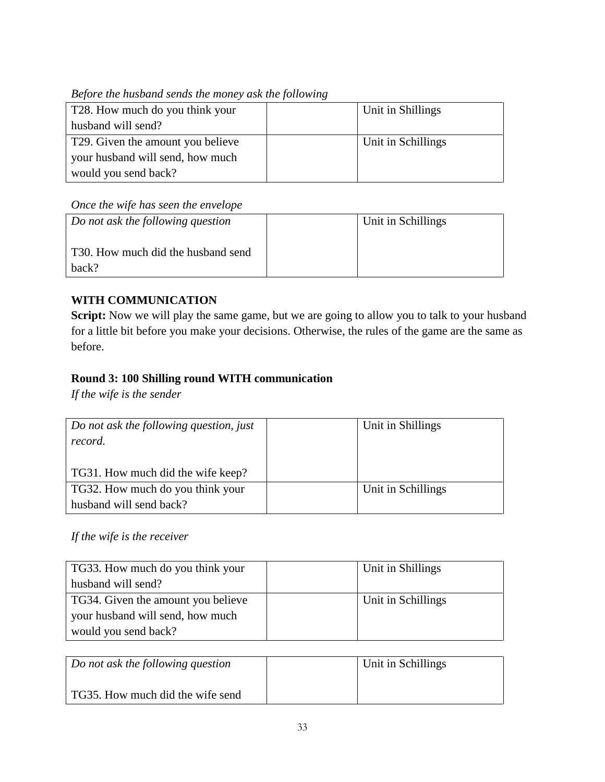*Before the husband sends the money ask the following*

| T28. How much do you think your                | Unit in Shillings  |
|------------------------------------------------|--------------------|
| husband will send?                             |                    |
| T <sub>29</sub> . Given the amount you believe | Unit in Schillings |
| your husband will send, how much               |                    |
| would you send back?                           |                    |

# *Once the wife has seen the envelope*

| Do not ask the following question           | Unit in Schillings |
|---------------------------------------------|--------------------|
| T30. How much did the husband send<br>back? |                    |

# **WITH COMMUNICATION**

Script: Now we will play the same game, but we are going to allow you to talk to your husband for a little bit before you make your decisions. Otherwise, the rules of the game are the same as before.

# **Round 3: 100 Shilling round WITH communication**

*If the wife is the sender*

| Do not ask the following question, just<br>record. | Unit in Shillings  |
|----------------------------------------------------|--------------------|
|                                                    |                    |
| TG31. How much did the wife keep?                  |                    |
| TG32. How much do you think your                   | Unit in Schillings |
| husband will send back?                            |                    |

# *If the wife is the receiver*

| TG33. How much do you think your   | Unit in Shillings  |
|------------------------------------|--------------------|
| husband will send?                 |                    |
| TG34. Given the amount you believe | Unit in Schillings |
| your husband will send, how much   |                    |
| would you send back?               |                    |

| Do not ask the following question | Unit in Schillings |
|-----------------------------------|--------------------|
| TG35. How much did the wife send  |                    |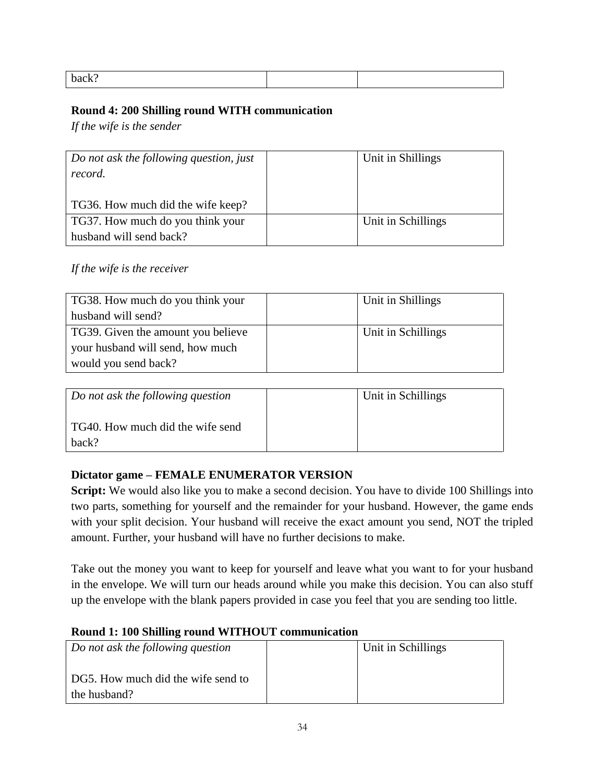| back? |  |
|-------|--|
|       |  |

### **Round 4: 200 Shilling round WITH communication**

*If the wife is the sender*

| Do not ask the following question, just | Unit in Shillings  |
|-----------------------------------------|--------------------|
| record.                                 |                    |
|                                         |                    |
| TG36. How much did the wife keep?       |                    |
| TG37. How much do you think your        | Unit in Schillings |
| husband will send back?                 |                    |

## *If the wife is the receiver*

| TG38. How much do you think your   | Unit in Shillings  |
|------------------------------------|--------------------|
| husband will send?                 |                    |
| TG39. Given the amount you believe | Unit in Schillings |
| your husband will send, how much   |                    |
| would you send back?               |                    |

| Do not ask the following question         | Unit in Schillings |
|-------------------------------------------|--------------------|
| TG40. How much did the wife send<br>hack? |                    |

## **Dictator game – FEMALE ENUMERATOR VERSION**

**Script:** We would also like you to make a second decision. You have to divide 100 Shillings into two parts, something for yourself and the remainder for your husband. However, the game ends with your split decision. Your husband will receive the exact amount you send, NOT the tripled amount. Further, your husband will have no further decisions to make.

Take out the money you want to keep for yourself and leave what you want to for your husband in the envelope. We will turn our heads around while you make this decision. You can also stuff up the envelope with the blank papers provided in case you feel that you are sending too little.

#### **Round 1: 100 Shilling round WITHOUT communication**

| Do not ask the following question                  | Unit in Schillings |  |
|----------------------------------------------------|--------------------|--|
| DG5. How much did the wife send to<br>the husband? |                    |  |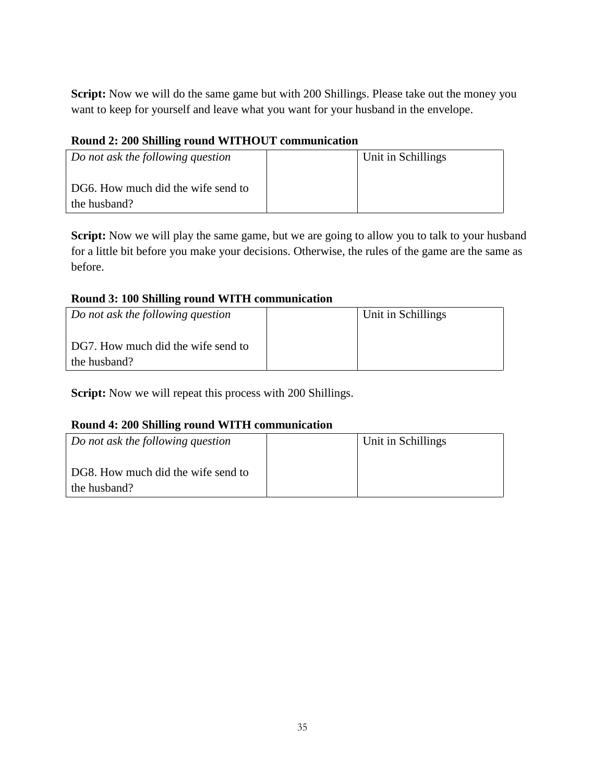Script: Now we will do the same game but with 200 Shillings. Please take out the money you want to keep for yourself and leave what you want for your husband in the envelope.

## **Round 2: 200 Shilling round WITHOUT communication**

| Do not ask the following question                  | Unit in Schillings |
|----------------------------------------------------|--------------------|
| DG6. How much did the wife send to<br>the husband? |                    |

**Script:** Now we will play the same game, but we are going to allow you to talk to your husband for a little bit before you make your decisions. Otherwise, the rules of the game are the same as before.

### **Round 3: 100 Shilling round WITH communication**

| Do not ask the following question                  | Unit in Schillings |
|----------------------------------------------------|--------------------|
| DG7. How much did the wife send to<br>the husband? |                    |

**Script:** Now we will repeat this process with 200 Shillings.

## **Round 4: 200 Shilling round WITH communication**

| Do not ask the following question                  | Unit in Schillings |
|----------------------------------------------------|--------------------|
| DG8. How much did the wife send to<br>the husband? |                    |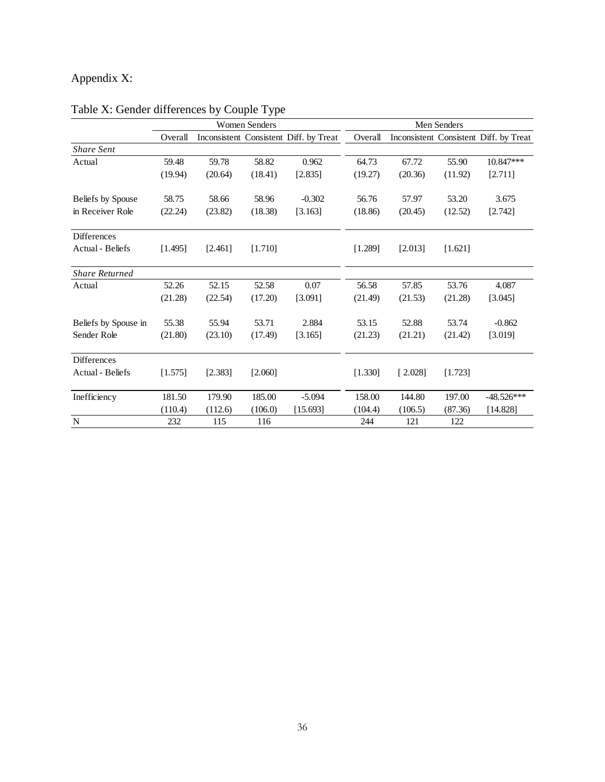# Appendix X:

|                       | <b>Women Senders</b> |         | Men Senders |                                        |         |         |         |                                        |
|-----------------------|----------------------|---------|-------------|----------------------------------------|---------|---------|---------|----------------------------------------|
|                       | Overall              |         |             | Inconsistent Consistent Diff. by Treat | Overall |         |         | Inconsistent Consistent Diff. by Treat |
| <b>Share Sent</b>     |                      |         |             |                                        |         |         |         |                                        |
| Actual                | 59.48                | 59.78   | 58.82       | 0.962                                  | 64.73   | 67.72   | 55.90   | 10.847***                              |
|                       | (19.94)              | (20.64) | (18.41)     | [2.835]                                | (19.27) | (20.36) | (11.92) | [2.711]                                |
| Beliefs by Spouse     | 58.75                | 58.66   | 58.96       | $-0.302$                               | 56.76   | 57.97   | 53.20   | 3.675                                  |
| in Receiver Role      | (22.24)              | (23.82) | (18.38)     | [3.163]                                | (18.86) | (20.45) | (12.52) | [2.742]                                |
| <b>Differences</b>    |                      |         |             |                                        |         |         |         |                                        |
| Actual - Beliefs      | [1.495]              | [2.461] | [1.710]     |                                        | [1.289] | [2.013] | [1.621] |                                        |
| <b>Share Returned</b> |                      |         |             |                                        |         |         |         |                                        |
| Actual                | 52.26                | 52.15   | 52.58       | 0.07                                   | 56.58   | 57.85   | 53.76   | 4.087                                  |
|                       | (21.28)              | (22.54) | (17.20)     | [3.091]                                | (21.49) | (21.53) | (21.28) | [3.045]                                |
| Beliefs by Spouse in  | 55.38                | 55.94   | 53.71       | 2.884                                  | 53.15   | 52.88   | 53.74   | $-0.862$                               |
| Sender Role           | (21.80)              | (23.10) | (17.49)     | [3.165]                                | (21.23) | (21.21) | (21.42) | [3.019]                                |
| <b>Differences</b>    |                      |         |             |                                        |         |         |         |                                        |
| Actual - Beliefs      | [1.575]              | [2.383] | [2.060]     |                                        | [1.330] | [2.028] | [1.723] |                                        |
| Inefficiency          | 181.50               | 179.90  | 185.00      | $-5.094$                               | 158.00  | 144.80  | 197.00  | $-48.526***$                           |
|                       | (110.4)              | (112.6) | (106.0)     | [15.693]                               | (104.4) | (106.5) | (87.36) | [14.828]                               |
| $\mathbf N$           | 232                  | 115     | 116         |                                        | 244     | 121     | 122     |                                        |

# Table X: Gender differences by Couple Type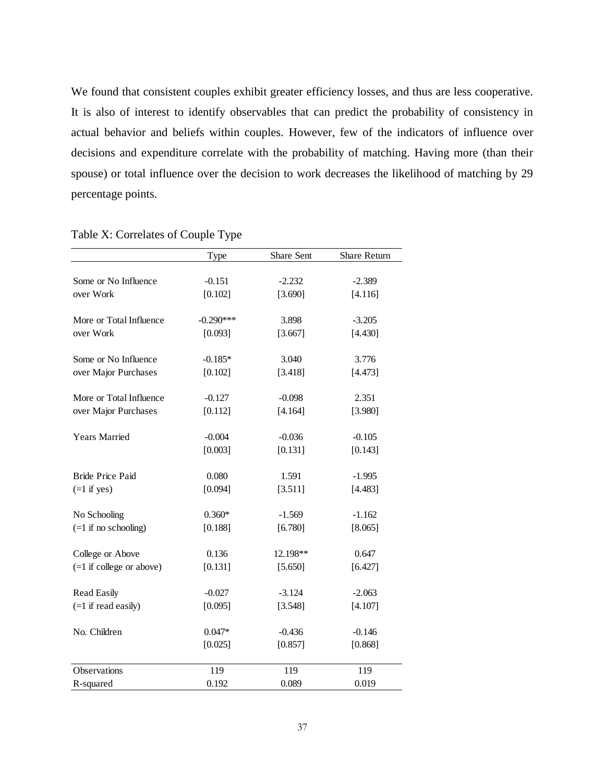We found that consistent couples exhibit greater efficiency losses, and thus are less cooperative. It is also of interest to identify observables that can predict the probability of consistency in actual behavior and beliefs within couples. However, few of the indicators of influence over decisions and expenditure correlate with the probability of matching. Having more (than their spouse) or total influence over the decision to work decreases the likelihood of matching by 29 percentage points.

|                            | Type        | Share Sent | Share Return |  |
|----------------------------|-------------|------------|--------------|--|
|                            |             |            |              |  |
| Some or No Influence       | $-0.151$    | $-2.232$   | $-2.389$     |  |
| over Work                  | [0.102]     | [3.690]    | [4.116]      |  |
| More or Total Influence    | $-0.290***$ | 3.898      | $-3.205$     |  |
| over Work                  | [0.093]     | [3.667]    | [4.430]      |  |
| Some or No Influence       | $-0.185*$   | 3.040      | 3.776        |  |
| over Major Purchases       | [0.102]     | [3.418]    | [4.473]      |  |
| More or Total Influence    | $-0.127$    | $-0.098$   | 2.351        |  |
| over Major Purchases       | [0.112]     | [4.164]    | [3.980]      |  |
| Years Married              | $-0.004$    | $-0.036$   | $-0.105$     |  |
|                            | [0.003]     | [0.131]    | [0.143]      |  |
| <b>Bride Price Paid</b>    | 0.080       | 1.591      | $-1.995$     |  |
| $(=1$ if yes)              | [0.094]     | [3.511]    | [4.483]      |  |
| No Schooling               | $0.360*$    | $-1.569$   | $-1.162$     |  |
| $(=1$ if no schooling)     | [0.188]     | [6.780]    | [8.065]      |  |
| College or Above           | 0.136       | 12.198**   | 0.647        |  |
| $(=1$ if college or above) | [0.131]     | [5.650]    | [6.427]      |  |
| <b>Read Easily</b>         | $-0.027$    | $-3.124$   | $-2.063$     |  |
| $(=1$ if read easily)      | [0.095]     | [3.548]    | [4.107]      |  |
| No. Children               | $0.047*$    | $-0.436$   | $-0.146$     |  |
|                            | [0.025]     | [0.857]    | [0.868]      |  |
| Observations               | 119         | 119        | 119          |  |
| R-squared                  | 0.192       | 0.089      | 0.019        |  |

## Table X: Correlates of Couple Type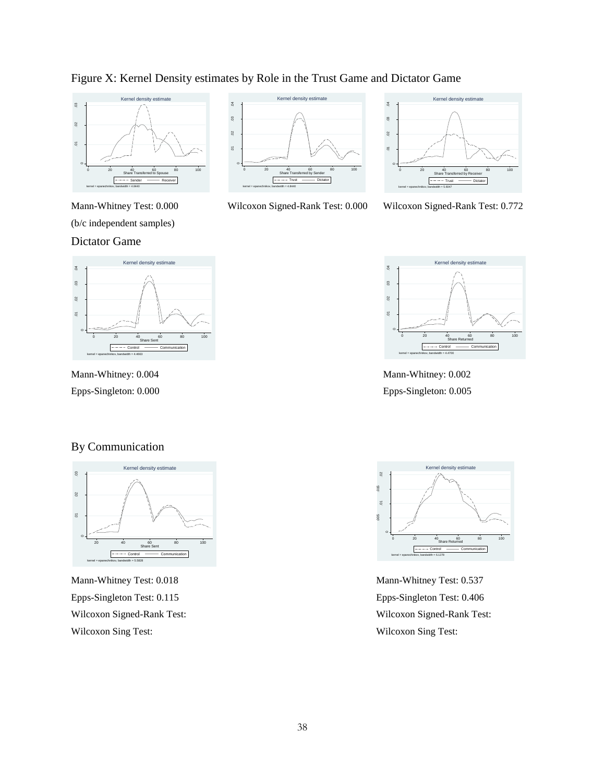





Figure X: Kernel Density estimates by Role in the Trust Game and Dictator Game



Wilcoxon Signed-Rank Test: 0.000 Wilcoxon Signed-Rank Test: 0.772



Mann-Whitney: 0.002 Epps-Singleton: 0.005



Mann-Whitney: 0.004 Epps-Singleton: 0.000

### By Communication



Mann-Whitney Test: 0.018 Epps-Singleton Test: 0.115 Wilcoxon Signed-Rank Test: Wilcoxon Sing Test:



Mann-Whitney Test: 0.537 Epps-Singleton Test: 0.406 Wilcoxon Signed-Rank Test: Wilcoxon Sing Test: